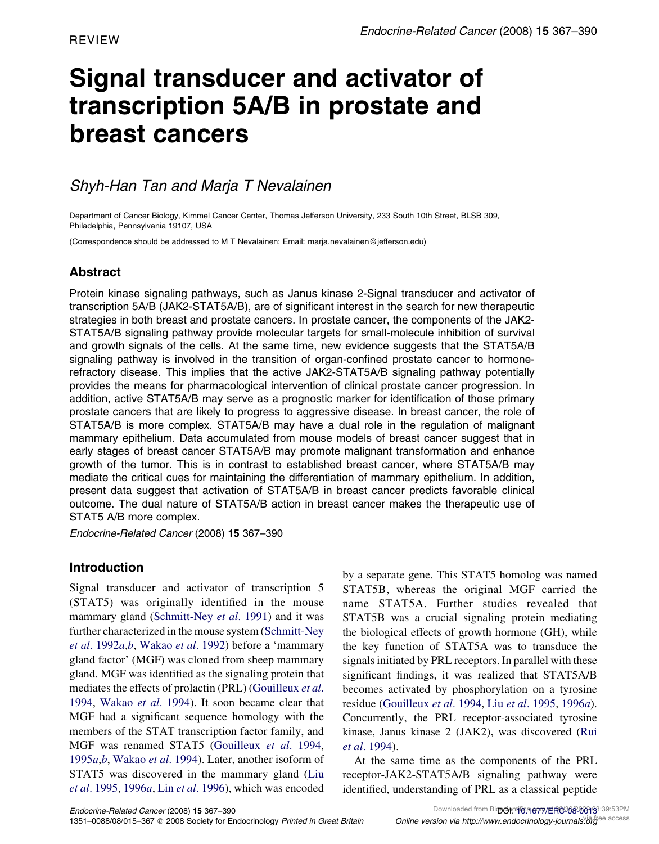# Signal transducer and activator of transcription 5A/B in prostate and breast cancers

# Shyh-Han Tan and Marja T Nevalainen

Department of Cancer Biology, Kimmel Cancer Center, Thomas Jefferson University, 233 South 10th Street, BLSB 309, Philadelphia, Pennsylvania 19107, USA

(Correspondence should be addressed to M T Nevalainen; Email: marja.nevalainen@jefferson.edu)

## Abstract

Protein kinase signaling pathways, such as Janus kinase 2-Signal transducer and activator of transcription 5A/B (JAK2-STAT5A/B), are of significant interest in the search for new therapeutic strategies in both breast and prostate cancers. In prostate cancer, the components of the JAK2- STAT5A/B signaling pathway provide molecular targets for small-molecule inhibition of survival and growth signals of the cells. At the same time, new evidence suggests that the STAT5A/B signaling pathway is involved in the transition of organ-confined prostate cancer to hormonerefractory disease. This implies that the active JAK2-STAT5A/B signaling pathway potentially provides the means for pharmacological intervention of clinical prostate cancer progression. In addition, active STAT5A/B may serve as a prognostic marker for identification of those primary prostate cancers that are likely to progress to aggressive disease. In breast cancer, the role of STAT5A/B is more complex. STAT5A/B may have a dual role in the regulation of malignant mammary epithelium. Data accumulated from mouse models of breast cancer suggest that in early stages of breast cancer STAT5A/B may promote malignant transformation and enhance growth of the tumor. This is in contrast to established breast cancer, where STAT5A/B may mediate the critical cues for maintaining the differentiation of mammary epithelium. In addition, present data suggest that activation of STAT5A/B in breast cancer predicts favorable clinical outcome. The dual nature of STAT5A/B action in breast cancer makes the therapeutic use of STAT5 A/B more complex.

Endocrine-Related Cancer (2008) 15 367–390

## Introduction

Signal transducer and activator of transcription 5 (STAT5) was originally identified in the mouse mammary gland [\(Schmitt-Ney](#page-21-0) et al. 1991) and it was further characterized in the mouse system ([Schmitt-Ney](#page-21-0) et al[. 1992](#page-21-0)a,[b](#page-21-0), [Wakao](#page-22-0) et al. 1992) before a 'mammary gland factor' (MGF) was cloned from sheep mammary gland. MGF was identified as the signaling protein that mediates the effects of prolactin (PRL) ([Gouilleux](#page-16-0) et al. [1994,](#page-16-0) [Wakao](#page-22-0) et al. 1994). It soon became clear that MGF had a significant sequence homology with the members of the STAT transcription factor family, and MGF was renamed STAT5 [\(Gouilleux](#page-16-0) et al. 1994, [1995](#page-16-0)*a*,*[b](#page-16-0)*, [Wakao](#page-22-0) et al. 1994). Later, another isoform of STAT5 was discovered in the mammary gland [\(Liu](#page-19-0) et al[. 1995,](#page-19-0) [1996](#page-19-0)a, Lin et al[. 1996](#page-18-0)), which was encoded

by a separate gene. This STAT5 homolog was named STAT5B, whereas the original MGF carried the name STAT5A. Further studies revealed that STAT5B was a crucial signaling protein mediating the biological effects of growth hormone (GH), while the key function of STAT5A was to transduce the signals initiated by PRL receptors. In parallel with these significant findings, it was realized that STAT5A/B becomes activated by phosphorylation on a tyrosine residue ([Gouilleux](#page-16-0) et al. 1994, Liu et al[. 1995](#page-19-0), [1996](#page-19-0)a). Concurrently, the PRL receptor-associated tyrosine kinase, Janus kinase 2 (JAK2), was discovered ([Rui](#page-20-0) et al[. 1994](#page-20-0)).

At the same time as the components of the PRL receptor-JAK2-STAT5A/B signaling pathway were identified, understanding of PRL as a classical peptide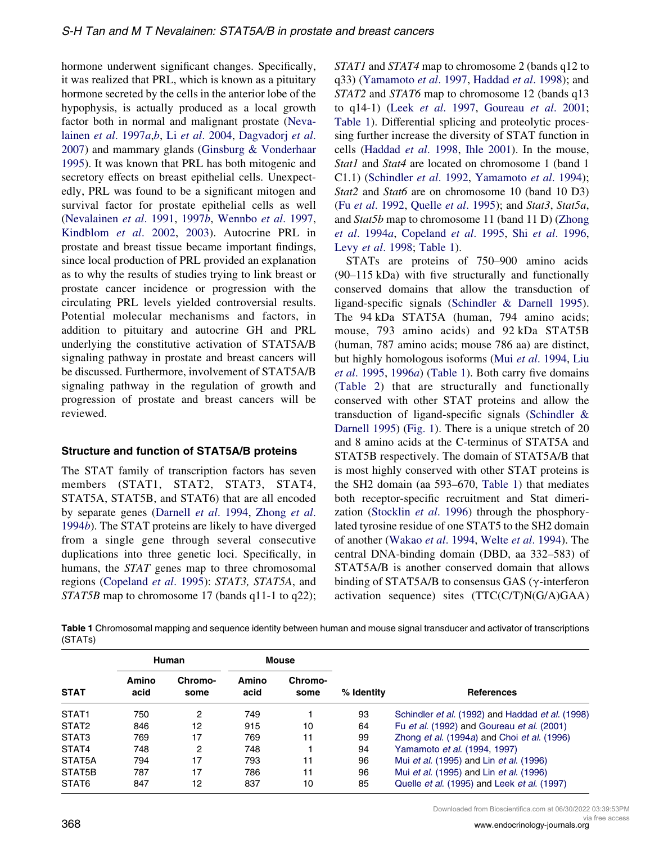hormone underwent significant changes. Specifically, it was realized that PRL, which is known as a pituitary hormone secreted by the cells in the anterior lobe of the hypophysis, is actually produced as a local growth factor both in normal and malignant prostate ([Neva](#page-19-0)lainen et al[. 1997](#page-19-0)a,[b](#page-19-0), Li et al[. 2004,](#page-18-0) [Dagvadorj](#page-16-0) et al. [2007\)](#page-16-0) and mammary glands ([Ginsburg & Vonderhaar](#page-16-0) [1995\)](#page-16-0). It was known that PRL has both mitogenic and secretory effects on breast epithelial cells. Unexpectedly, PRL was found to be a significant mitogen and survival factor for prostate epithelial cells as well [\(Nevalainen](#page-19-0) et al. 1991, [1997](#page-19-0)b, [Wennbo](#page-22-0) et al. 1997, [Kindblom](#page-18-0) et al. 2002, [2003](#page-18-0)). Autocrine PRL in prostate and breast tissue became important findings, since local production of PRL provided an explanation as to why the results of studies trying to link breast or prostate cancer incidence or progression with the circulating PRL levels yielded controversial results. Potential molecular mechanisms and factors, in addition to pituitary and autocrine GH and PRL underlying the constitutive activation of STAT5A/B signaling pathway in prostate and breast cancers will be discussed. Furthermore, involvement of STAT5A/B signaling pathway in the regulation of growth and progression of prostate and breast cancers will be reviewed.

#### Structure and function of STAT5A/B proteins

The STAT family of transcription factors has seven members (STAT1, STAT2, STAT3, STAT4, STAT5A, STAT5B, and STAT6) that are all encoded by separate genes ([Darnell](#page-16-0) et al. 1994, [Zhong](#page-23-0) et al. [1994](#page-23-0)b). The STAT proteins are likely to have diverged from a single gene through several consecutive duplications into three genetic loci. Specifically, in humans, the STAT genes map to three chromosomal regions [\(Copeland](#page-16-0) et al. 1995): STAT3, STAT5A, and STAT5B map to chromosome 17 (bands q11-1 to q22); STAT1 and STAT4 map to chromosome 2 (bands q12 to q33) [\(Yamamoto](#page-23-0) et al. 1997, [Haddad](#page-17-0) et al. 1998); and STAT2 and STAT6 map to chromosome 12 (bands q13 to q14-1) (Leek et al[. 1997](#page-18-0), [Goureau](#page-16-0) et al. 2001; Table 1). Differential splicing and proteolytic processing further increase the diversity of STAT function in cells ([Haddad](#page-17-0) et al. 1998, [Ihle 2001](#page-17-0)). In the mouse, Stat1 and Stat4 are located on chromosome 1 (band 1) C1.1) [\(Schindler](#page-21-0) et al. 1992, [Yamamoto](#page-22-0) et al. 1994); Stat2 and Stat6 are on chromosome 10 (band 10 D3) (Fu et al[. 1992](#page-16-0), [Quelle](#page-20-0) et al. 1995); and Stat3, Stat5a, and Stat5b map to chromosome 11 (band 11 D) [\(Zhong](#page-23-0) et al[. 1994](#page-23-0)a, [Copeland](#page-16-0) et al. 1995, Shi et al[. 1996,](#page-21-0) Levy et al[. 1998](#page-18-0); Table 1).

STATs are proteins of 750–900 amino acids (90–115 kDa) with five structurally and functionally conserved domains that allow the transduction of ligand-specific signals ([Schindler & Darnell 1995](#page-21-0)). The 94 kDa STAT5A (human, 794 amino acids; mouse, 793 amino acids) and 92 kDa STAT5B (human, 787 amino acids; mouse 786 aa) are distinct, but highly homologous isoforms (Mui et al[. 1994,](#page-19-0) [Liu](#page-19-0) et al[. 1995](#page-19-0), [1996](#page-19-0)a) (Table 1). Both carry five domains (Table 2) that are structurally and functionally conserved with other STAT proteins and allow the transduction of ligand-specific signals [\(Schindler &](#page-21-0) [Darnell 1995\)](#page-21-0) ([Fig. 1](#page-2-0)). There is a unique stretch of 20 and 8 amino acids at the C-terminus of STAT5A and STAT5B respectively. The domain of STAT5A/B that is most highly conserved with other STAT proteins is the SH2 domain (aa 593–670, Table 1) that mediates both receptor-specific recruitment and Stat dimeri-zation ([Stocklin](#page-21-0) et al. 1996) through the phosphorylated tyrosine residue of one STAT5 to the SH2 domain of another ([Wakao](#page-22-0) et al. 1994, Welte et al[. 1994](#page-22-0)). The central DNA-binding domain (DBD, aa 332–583) of STAT5A/B is another conserved domain that allows binding of STAT5A/B to consensus GAS ( $\gamma$ -interferon activation sequence) sites (TTC(C/T)N(G/A)GAA)

Table 1 Chromosomal mapping and sequence identity between human and mouse signal transducer and activator of transcriptions (STATs)

| <b>STAT</b>       | Human         |                 | Mouse         |                 |            |                                                  |
|-------------------|---------------|-----------------|---------------|-----------------|------------|--------------------------------------------------|
|                   | Amino<br>acid | Chromo-<br>some | Amino<br>acid | Chromo-<br>some | % Identity | <b>References</b>                                |
| STAT <sub>1</sub> | 750           | 2               | 749           |                 | 93         | Schindler et al. (1992) and Haddad et al. (1998) |
| STAT <sub>2</sub> | 846           | 12              | 915           | 10              | 64         | Fu et al. (1992) and Goureau et al. (2001)       |
| STAT3             | 769           | 17              | 769           | 11              | 99         | Zhong et al. (1994a) and Choi et al. (1996)      |
| STAT4             | 748           | 2               | 748           |                 | 94         | Yamamoto et al. (1994, 1997)                     |
| STAT5A            | 794           | 17              | 793           | 11              | 96         | Mui et al. (1995) and Lin et al. (1996)          |
| STAT5B            | 787           | 17              | 786           | 11              | 96         | Mui et al. (1995) and Lin et al. (1996)          |
| STAT6             | 847           | 12              | 837           | 10              | 85         | Quelle et al. (1995) and Leek et al. (1997)      |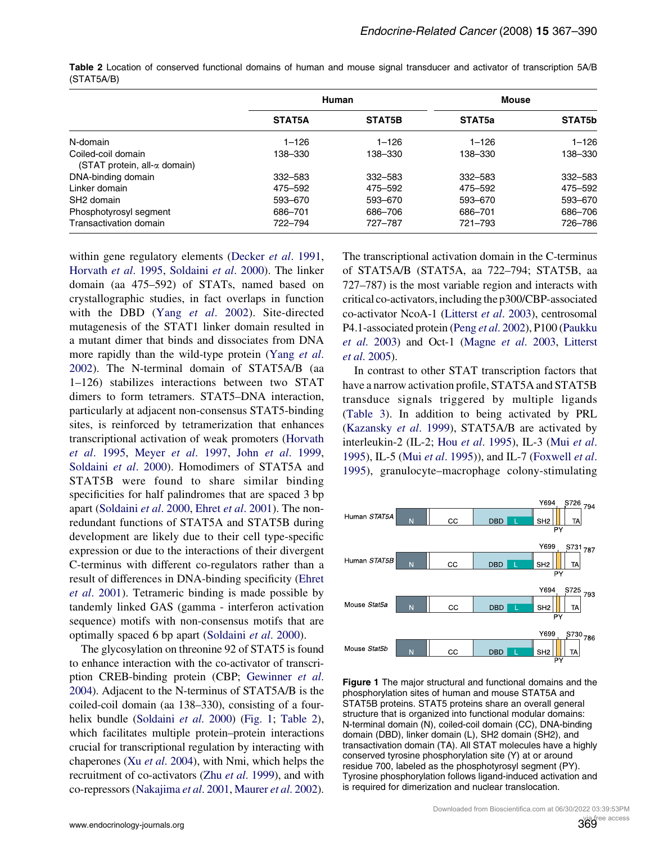|                                                    |           | Human     | <b>Mouse</b>       |           |
|----------------------------------------------------|-----------|-----------|--------------------|-----------|
|                                                    | STAT5A    | STAT5B    | STAT <sub>5a</sub> | STAT5b    |
| N-domain                                           | $1 - 126$ | $1 - 126$ | $1 - 126$          | $1 - 126$ |
| Coiled-coil domain<br>(STAT protein, all-α domain) | 138-330   | 138-330   | 138-330            | 138-330   |
| DNA-binding domain                                 | 332-583   | 332-583   | 332-583            | 332-583   |
| Linker domain                                      | 475–592   | 475-592   | 475-592            | 475-592   |
| SH <sub>2</sub> domain                             | 593-670   | 593-670   | 593-670            | 593-670   |
| Phosphotyrosyl segment                             | 686-701   | 686-706   | 686-701            | 686-706   |
| Transactivation domain                             | 722-794   | 727-787   | 721-793            | 726-786   |

<span id="page-2-0"></span>Table 2 Location of conserved functional domains of human and mouse signal transducer and activator of transcription 5A/B (STAT5A/B)

within gene regulatory elements [\(Decker](#page-16-0) et al. 1991, [Horvath](#page-17-0) et al. 1995, [Soldaini](#page-21-0) et al. 2000). The linker domain (aa 475–592) of STATs, named based on crystallographic studies, in fact overlaps in function with the DBD (Yang et al[. 2002](#page-23-0)). Site-directed mutagenesis of the STAT1 linker domain resulted in a mutant dimer that binds and dissociates from DNA more rapidly than the wild-type protein ([Yang](#page-23-0) et al. [2002\)](#page-23-0). The N-terminal domain of STAT5A/B (aa 1–126) stabilizes interactions between two STAT dimers to form tetramers. STAT5–DNA interaction, particularly at adjacent non-consensus STAT5-binding sites, is reinforced by tetramerization that enhances transcriptional activation of weak promoters [\(Horvath](#page-17-0) et al[. 1995](#page-17-0), Meyer et al[. 1997,](#page-19-0) John et al[. 1999](#page-17-0), [Soldaini](#page-21-0) et al. 2000). Homodimers of STAT5A and STAT5B were found to share similar binding specificities for half palindromes that are spaced 3 bp apart [\(Soldaini](#page-21-0) et al. 2000, Ehret et al[. 2001\)](#page-16-0). The nonredundant functions of STAT5A and STAT5B during development are likely due to their cell type-specific expression or due to the interactions of their divergent C-terminus with different co-regulators rather than a result of differences in DNA-binding specificity [\(Ehret](#page-16-0) et al[. 2001\)](#page-16-0). Tetrameric binding is made possible by tandemly linked GAS (gamma - interferon activation sequence) motifs with non-consensus motifs that are optimally spaced 6 bp apart [\(Soldaini](#page-21-0) et al. 2000).

The glycosylation on threonine 92 of STAT5 is found to enhance interaction with the co-activator of transcription CREB-binding protein (CBP; [Gewinner](#page-16-0) et al. [2004](#page-16-0)). Adjacent to the N-terminus of STAT5A/B is the coiled-coil domain (aa 138–330), consisting of a four-helix bundle ([Soldaini](#page-21-0) *et al.* 2000) (Fig. 1; Table 2), which facilitates multiple protein–protein interactions crucial for transcriptional regulation by interacting with chaperones (Xu et al[. 2004](#page-22-0)), with Nmi, which helps the recruitment of co-activators (Zhu et al[. 1999](#page-23-0)), and with co-repressors ([Nakajima](#page-19-0) et al. 2001, [Maurer](#page-19-0) et al. 2002).

The transcriptional activation domain in the C-terminus of STAT5A/B (STAT5A, aa 722–794; STAT5B, aa 727–787) is the most variable region and interacts with critical co-activators,including the p300/CBP-associated co-activator NcoA-1 ([Litterst](#page-18-0) et al. 2003), centrosomal P4.1-associated protein (Peng et al[. 2002](#page-20-0)), P100 ([Paukku](#page-20-0) et al[. 2003\)](#page-20-0) and Oct-1 [\(Magne](#page-19-0) et al. 2003, [Litterst](#page-19-0) et al[. 2005\)](#page-19-0).

In contrast to other STAT transcription factors that have a narrow activation profile, STAT5A and STAT5B transduce signals triggered by multiple ligands (Table 3). In addition to being activated by PRL [\(Kazansky](#page-18-0) et al. 1999), STAT5A/B are activated by interleukin-2 (IL-2; Hou et al[. 1995\)](#page-17-0), IL-3 (Mui [et al](#page-19-0). [1995\)](#page-19-0), IL-5 (Mui et al[. 1995\)](#page-19-0)), and IL-7 [\(Foxwell](#page-16-0) et al. [1995](#page-16-0)), granulocyte–macrophage colony-stimulating



Figure 1 The major structural and functional domains and the phosphorylation sites of human and mouse STAT5A and STAT5B proteins. STAT5 proteins share an overall general structure that is organized into functional modular domains: N-terminal domain (N), coiled-coil domain (CC), DNA-binding domain (DBD), linker domain (L), SH2 domain (SH2), and transactivation domain (TA). All STAT molecules have a highly conserved tyrosine phosphorylation site (Y) at or around residue 700, labeled as the phosphotyrosyl segment (PY). Tyrosine phosphorylation follows ligand-induced activation and is required for dimerization and nuclear translocation.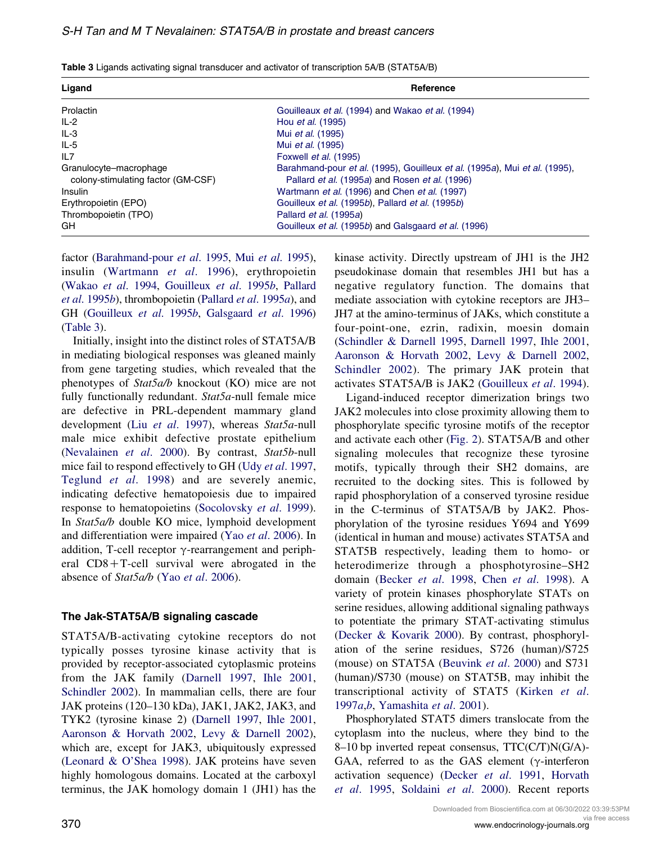| Ligand                                                       | Reference                                                                                                                    |  |  |
|--------------------------------------------------------------|------------------------------------------------------------------------------------------------------------------------------|--|--|
| Prolactin                                                    | Gouilleaux et al. (1994) and Wakao et al. (1994)                                                                             |  |  |
| $IL-2$                                                       | Hou <i>et al.</i> (1995)                                                                                                     |  |  |
| IL-3                                                         | Mui et al. (1995)                                                                                                            |  |  |
| $IL-5$                                                       | Mui <i>et al.</i> (1995)                                                                                                     |  |  |
| IL7                                                          | Foxwell et al. (1995)                                                                                                        |  |  |
| Granulocyte-macrophage<br>colony-stimulating factor (GM-CSF) | Barahmand-pour et al. (1995), Gouilleux et al. (1995a), Mui et al. (1995),<br>Pallard et al. (1995a) and Rosen et al. (1996) |  |  |
| Insulin                                                      | Wartmann et al. (1996) and Chen et al. (1997)                                                                                |  |  |
| Erythropoietin (EPO)                                         | Gouilleux et al. (1995b), Pallard et al. (1995b)                                                                             |  |  |
| Thrombopoietin (TPO)                                         | Pallard et al. (1995a)                                                                                                       |  |  |
| GH                                                           | Gouilleux et al. (1995b) and Galsgaard et al. (1996)                                                                         |  |  |

Table 3 Ligands activating signal transducer and activator of transcription 5A/B (STAT5A/B)

factor ([Barahmand-pour](#page-15-0) et al. 1995, Mui et al[. 1995](#page-19-0)), insulin ([Wartmann](#page-22-0) et al. 1996), erythropoietin [\(Wakao](#page-22-0) et al. 1994, [Gouilleux](#page-16-0) et al. 1995b, [Pallard](#page-20-0) et al[. 1995](#page-20-0)b), thrombopoietin [\(Pallard](#page-20-0) et al. 1995a), and GH [\(Gouilleux](#page-16-0) et al. 1995b, [Galsgaard](#page-16-0) et al. 1996) (Table 3).

Initially, insight into the distinct roles of STAT5A/B in mediating biological responses was gleaned mainly from gene targeting studies, which revealed that the phenotypes of Stat5a/b knockout (KO) mice are not fully functionally redundant. Stat5a-null female mice are defective in PRL-dependent mammary gland development (Liu et al[. 1997](#page-19-0)), whereas Stat5a-null male mice exhibit defective prostate epithelium [\(Nevalainen](#page-20-0) et al. 2000). By contrast, Stat5b-null mice fail to respond effectively to GH (Udy et al[. 1997,](#page-22-0) [Teglund](#page-22-0) et al. 1998) and are severely anemic, indicating defective hematopoiesis due to impaired response to hematopoietins [\(Socolovsky](#page-21-0) et al. 1999). In Stat5a/b double KO mice, lymphoid development and differentiation were impaired (Yao et al[. 2006](#page-23-0)). In addition, T-cell receptor  $\gamma$ -rearrangement and peripheral  $CD8+T-cell$  survival were abrogated in the absence of Stat5a/b (Yao et al[. 2006\)](#page-23-0).

#### The Jak-STAT5A/B signaling cascade

STAT5A/B-activating cytokine receptors do not typically posses tyrosine kinase activity that is provided by receptor-associated cytoplasmic proteins from the JAK family ([Darnell 1997,](#page-16-0) [Ihle 2001,](#page-17-0) [Schindler 2002](#page-21-0)). In mammalian cells, there are four JAK proteins (120–130 kDa), JAK1, JAK2, JAK3, and TYK2 (tyrosine kinase 2) [\(Darnell 1997,](#page-16-0) [Ihle 2001,](#page-17-0) [Aaronson & Horvath 2002](#page-15-0), [Levy & Darnell 2002](#page-18-0)), which are, except for JAK3, ubiquitously expressed [\(Leonard & O'Shea 1998\)](#page-18-0). JAK proteins have seven highly homologous domains. Located at the carboxyl terminus, the JAK homology domain 1 (JH1) has the

kinase activity. Directly upstream of JH1 is the JH2 pseudokinase domain that resembles JH1 but has a negative regulatory function. The domains that mediate association with cytokine receptors are JH3– JH7 at the amino-terminus of JAKs, which constitute a four-point-one, ezrin, radixin, moesin domain [\(Schindler & Darnell 1995,](#page-21-0) [Darnell 1997](#page-16-0), [Ihle 2001,](#page-17-0) [Aaronson & Horvath 2002,](#page-15-0) [Levy & Darnell 2002,](#page-18-0) [Schindler 2002](#page-21-0)). The primary JAK protein that activates STAT5A/B is JAK2 ([Gouilleux](#page-16-0) et al. 1994).

Ligand-induced receptor dimerization brings two JAK2 molecules into close proximity allowing them to phosphorylate specific tyrosine motifs of the receptor and activate each other [\(Fig. 2](#page-4-0)). STAT5A/B and other signaling molecules that recognize these tyrosine motifs, typically through their SH2 domains, are recruited to the docking sites. This is followed by rapid phosphorylation of a conserved tyrosine residue in the C-terminus of STAT5A/B by JAK2. Phosphorylation of the tyrosine residues Y694 and Y699 (identical in human and mouse) activates STAT5A and STAT5B respectively, leading them to homo- or heterodimerize through a phosphotyrosine–SH2 domain [\(Becker](#page-15-0) et al. 1998, Chen et al[. 1998](#page-15-0)). A variety of protein kinases phosphorylate STATs on serine residues, allowing additional signaling pathways to potentiate the primary STAT-activating stimulus [\(Decker & Kovarik 2000](#page-16-0)). By contrast, phosphorylation of the serine residues, S726 (human)/S725 (mouse) on STAT5A [\(Beuvink](#page-15-0) et al. 2000) and S731 (human)/S730 (mouse) on STAT5B, may inhibit the transcriptional activity of STAT5 ([Kirken](#page-18-0) et al. [1997](#page-18-0)a,[b](#page-18-0), [Yamashita](#page-23-0) et al. 2001).

Phosphorylated STAT5 dimers translocate from the cytoplasm into the nucleus, where they bind to the 8–10 bp inverted repeat consensus, TTC(C/T)N(G/A)- GAA, referred to as the GAS element ( $\gamma$ -interferon activation sequence) [\(Decker](#page-16-0) et al. 1991, [Horvath](#page-17-0) et al[. 1995](#page-17-0), [Soldaini](#page-21-0) et al. 2000). Recent reports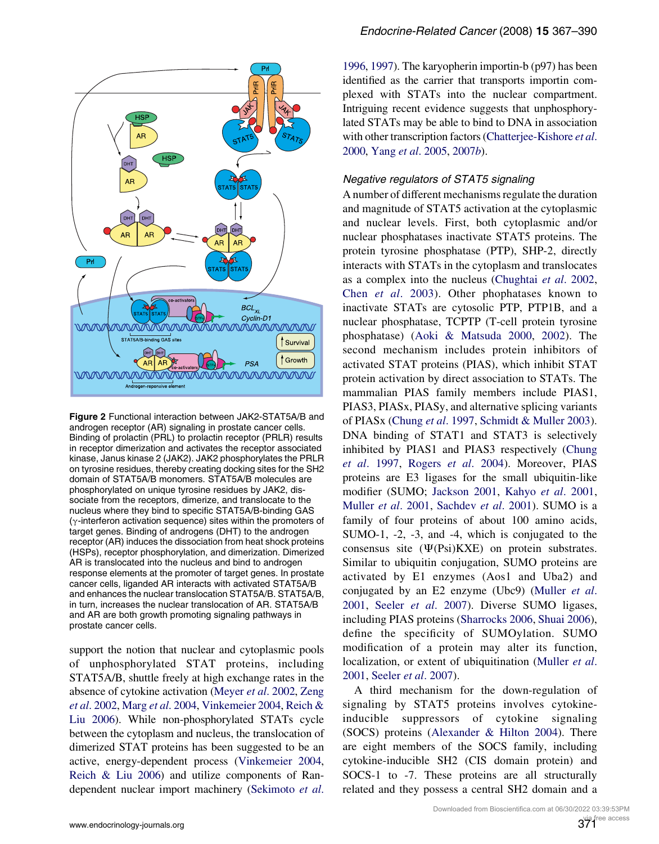<span id="page-4-0"></span>

Figure 2 Functional interaction between JAK2-STAT5A/B and androgen receptor (AR) signaling in prostate cancer cells. Binding of prolactin (PRL) to prolactin receptor (PRLR) results in receptor dimerization and activates the receptor associated kinase, Janus kinase 2 (JAK2). JAK2 phosphorylates the PRLR on tyrosine residues, thereby creating docking sites for the SH2 domain of STAT5A/B monomers. STAT5A/B molecules are phosphorylated on unique tyrosine residues by JAK2, dissociate from the receptors, dimerize, and translocate to the nucleus where they bind to specific STAT5A/B-binding GAS  $(y$ -interferon activation sequence) sites within the promoters of target genes. Binding of androgens (DHT) to the androgen receptor (AR) induces the dissociation from heat shock proteins (HSPs), receptor phosphorylation, and dimerization. Dimerized AR is translocated into the nucleus and bind to androgen response elements at the promoter of target genes. In prostate cancer cells, liganded AR interacts with activated STAT5A/B and enhances the nuclear translocation STAT5A/B. STAT5A/B, in turn, increases the nuclear translocation of AR. STAT5A/B and AR are both growth promoting signaling pathways in prostate cancer cells.

support the notion that nuclear and cytoplasmic pools of unphosphorylated STAT proteins, including STAT5A/B, shuttle freely at high exchange rates in the absence of cytokine activation [\(Meyer](#page-19-0) et al. 2002, [Zeng](#page-23-0) et al[. 2002,](#page-23-0) Marg et al[. 2004](#page-19-0), [Vinkemeier 2004,](#page-22-0) [Reich &](#page-20-0) [Liu 2006\)](#page-20-0). While non-phosphorylated STATs cycle between the cytoplasm and nucleus, the translocation of dimerized STAT proteins has been suggested to be an active, energy-dependent process [\(Vinkemeier 2004](#page-22-0), [Reich & Liu 2006](#page-20-0)) and utilize components of Randependent nuclear import machinery [\(Sekimoto](#page-21-0) et al. [1996](#page-21-0), [1997\)](#page-21-0). The karyopherin importin-b (p97) has been identified as the carrier that transports importin complexed with STATs into the nuclear compartment. Intriguing recent evidence suggests that unphosphorylated STATs may be able to bind to DNA in association with other transcription factors ([Chatterjee-Kishore](#page-15-0) et al. [2000](#page-15-0), Yang et al[. 2005,](#page-23-0) [2007](#page-23-0)b).

#### Negative regulators of STAT5 signaling

A number of different mechanisms regulate the duration and magnitude of STAT5 activation at the cytoplasmic and nuclear levels. First, both cytoplasmic and/or nuclear phosphatases inactivate STAT5 proteins. The protein tyrosine phosphatase (PTP), SHP-2, directly interacts with STATs in the cytoplasm and translocates as a complex into the nucleus [\(Chughtai](#page-15-0) et al. 2002, Chen et al[. 2003\)](#page-15-0). Other phophatases known to inactivate STATs are cytosolic PTP, PTP1B, and a nuclear phosphatase, TCPTP (T-cell protein tyrosine phosphatase) [\(Aoki & Matsuda 2000,](#page-15-0) [2002\)](#page-15-0). The second mechanism includes protein inhibitors of activated STAT proteins (PIAS), which inhibit STAT protein activation by direct association to STATs. The mammalian PIAS family members include PIAS1, PIAS3, PIASx, PIASy, and alternative splicing variants of PIASx ([Chung](#page-15-0) et al. 1997, [Schmidt & Muller 2003](#page-21-0)). DNA binding of STAT1 and STAT3 is selectively inhibited by PIAS1 and PIAS3 respectively [\(Chung](#page-15-0) et al[. 1997](#page-15-0), [Rogers](#page-20-0) et al. 2004). Moreover, PIAS proteins are E3 ligases for the small ubiquitin-like modifier (SUMO; [Jackson 2001,](#page-17-0) Kahyo et al[. 2001,](#page-17-0) [Muller](#page-19-0) et al. 2001, [Sachdev](#page-20-0) et al. 2001). SUMO is a family of four proteins of about 100 amino acids, SUMO-1, -2, -3, and -4, which is conjugated to the consensus site  $(\Psi(Psi)KXE)$  on protein substrates. Similar to ubiquitin conjugation, SUMO proteins are activated by E1 enzymes (Aos1 and Uba2) and conjugated by an E2 enzyme (Ubc9) ([Muller](#page-19-0) et al. [2001,](#page-19-0) Seeler et al[. 2007](#page-21-0)). Diverse SUMO ligases, including PIAS proteins [\(Sharrocks 2006,](#page-21-0) [Shuai 2006](#page-21-0)), define the specificity of SUMOylation. SUMO modification of a protein may alter its function, localization, or extent of ubiquitination [\(Muller](#page-19-0) *et al.* [2001,](#page-19-0) Seeler et al[. 2007\)](#page-21-0).

A third mechanism for the down-regulation of signaling by STAT5 proteins involves cytokineinducible suppressors of cytokine signaling (SOCS) proteins [\(Alexander & Hilton 2004](#page-15-0)). There are eight members of the SOCS family, including cytokine-inducible SH2 (CIS domain protein) and SOCS-1 to -7. These proteins are all structurally related and they possess a central SH2 domain and a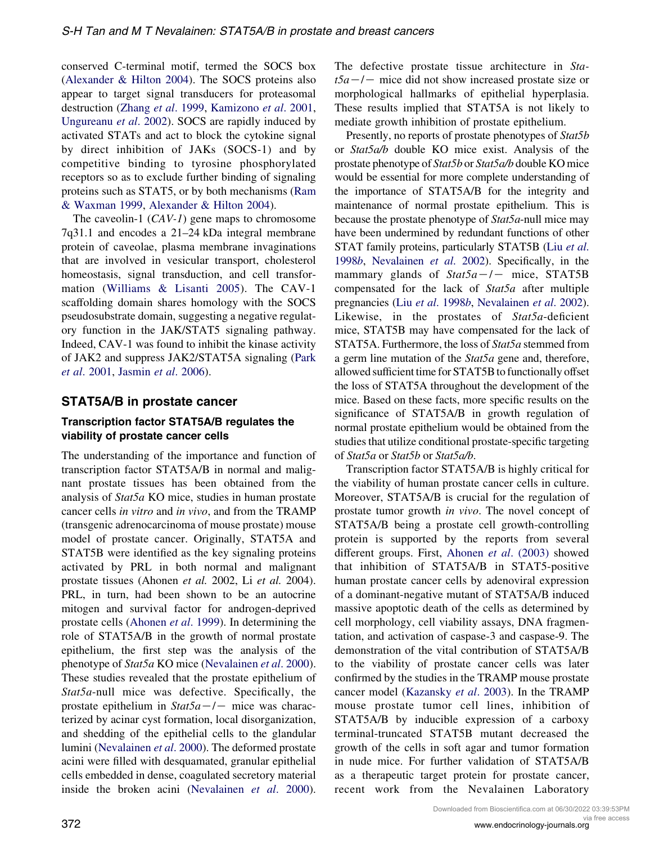conserved C-terminal motif, termed the SOCS box [\(Alexander & Hilton 2004](#page-15-0)). The SOCS proteins also appear to target signal transducers for proteasomal destruction (Zhang et al[. 1999,](#page-23-0) [Kamizono](#page-17-0) et al. 2001, [Ungureanu](#page-22-0) et al. 2002). SOCS are rapidly induced by activated STATs and act to block the cytokine signal by direct inhibition of JAKs (SOCS-1) and by competitive binding to tyrosine phosphorylated receptors so as to exclude further binding of signaling proteins such as STAT5, or by both mechanisms [\(Ram](#page-20-0) [& Waxman 1999,](#page-20-0) [Alexander & Hilton 2004](#page-15-0)).

The caveolin-1  $(CAV-1)$  gene maps to chromosome 7q31.1 and encodes a 21–24 kDa integral membrane protein of caveolae, plasma membrane invaginations that are involved in vesicular transport, cholesterol homeostasis, signal transduction, and cell transformation ([Williams & Lisanti 2005\)](#page-22-0). The CAV-1 scaffolding domain shares homology with the SOCS pseudosubstrate domain, suggesting a negative regulatory function in the JAK/STAT5 signaling pathway. Indeed, CAV-1 was found to inhibit the kinase activity of JAK2 and suppress JAK2/STAT5A signaling ([Park](#page-20-0) et al[. 2001](#page-20-0), [Jasmin](#page-17-0) et al. 2006).

#### STAT5A/B in prostate cancer

#### Transcription factor STAT5A/B regulates the viability of prostate cancer cells

The understanding of the importance and function of transcription factor STAT5A/B in normal and malignant prostate tissues has been obtained from the analysis of Stat5a KO mice, studies in human prostate cancer cells in vitro and in vivo, and from the TRAMP (transgenic adrenocarcinoma of mouse prostate) mouse model of prostate cancer. Originally, STAT5A and STAT5B were identified as the key signaling proteins activated by PRL in both normal and malignant prostate tissues (Ahonen et al. 2002, Li et al. 2004). PRL, in turn, had been shown to be an autocrine mitogen and survival factor for androgen-deprived prostate cells ([Ahonen](#page-15-0) et al. 1999). In determining the role of STAT5A/B in the growth of normal prostate epithelium, the first step was the analysis of the phenotype of Stat5a KO mice ([Nevalainen](#page-20-0) et al. 2000). These studies revealed that the prostate epithelium of Stat5a-null mice was defective. Specifically, the prostate epithelium in  $Stat5a-/-$  mice was characterized by acinar cyst formation, local disorganization, and shedding of the epithelial cells to the glandular lumini ([Nevalainen](#page-20-0) et al. 2000). The deformed prostate acini were filled with desquamated, granular epithelial cells embedded in dense, coagulated secretory material inside the broken acini ([Nevalainen](#page-20-0) et al. 2000).

Presently, no reports of prostate phenotypes of Stat5b or Stat5a/b double KO mice exist. Analysis of the prostate phenotype of Stat5b or Stat5a/b double KO mice would be essential for more complete understanding of the importance of STAT5A/B for the integrity and maintenance of normal prostate epithelium. This is because the prostate phenotype of Stat5a-null mice may have been undermined by redundant functions of other STAT family proteins, particularly STAT5B (Liu [et al](#page-19-0). [1998](#page-19-0)b, [Nevalainen](#page-20-0) et al. 2002). Specifically, in the mammary glands of  $Stat5a-/-$  mice, STAT5B compensated for the lack of Stat5a after multiple pregnancies (Liu et al[. 1998](#page-19-0)b, [Nevalainen](#page-20-0) et al. 2002). Likewise, in the prostates of Stat5a-deficient mice, STAT5B may have compensated for the lack of STAT5A. Furthermore, the loss of Stat5a stemmed from a germ line mutation of the Stat5a gene and, therefore, allowed sufficient time for STAT5B to functionally offset the loss of STAT5A throughout the development of the mice. Based on these facts, more specific results on the significance of STAT5A/B in growth regulation of normal prostate epithelium would be obtained from the studies that utilize conditional prostate-specific targeting of Stat5a or Stat5b or Stat5a/b.

The defective prostate tissue architecture in Sta-

Transcription factor STAT5A/B is highly critical for the viability of human prostate cancer cells in culture. Moreover, STAT5A/B is crucial for the regulation of prostate tumor growth in vivo. The novel concept of STAT5A/B being a prostate cell growth-controlling protein is supported by the reports from several different groups. First, Ahonen et al[. \(2003\)](#page-15-0) showed that inhibition of STAT5A/B in STAT5-positive human prostate cancer cells by adenoviral expression of a dominant-negative mutant of STAT5A/B induced massive apoptotic death of the cells as determined by cell morphology, cell viability assays, DNA fragmentation, and activation of caspase-3 and caspase-9. The demonstration of the vital contribution of STAT5A/B to the viability of prostate cancer cells was later confirmed by the studies in the TRAMP mouse prostate cancer model [\(Kazansky](#page-18-0) et al. 2003). In the TRAMP mouse prostate tumor cell lines, inhibition of STAT5A/B by inducible expression of a carboxy terminal-truncated STAT5B mutant decreased the growth of the cells in soft agar and tumor formation in nude mice. For further validation of STAT5A/B as a therapeutic target protein for prostate cancer, recent work from the Nevalainen Laboratory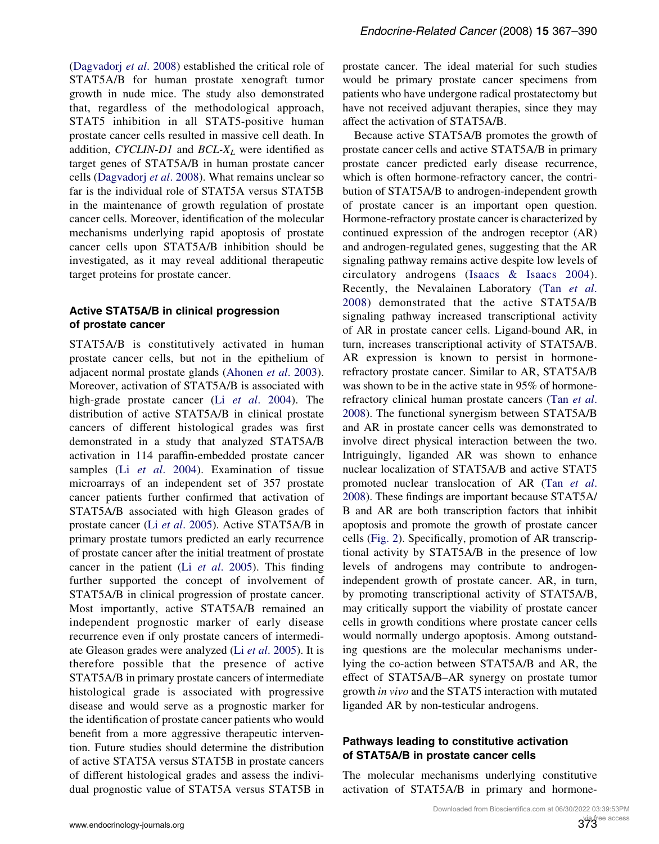[\(Dagvadorj](#page-16-0) et al. 2008) established the critical role of STAT5A/B for human prostate xenograft tumor growth in nude mice. The study also demonstrated that, regardless of the methodological approach, STAT5 inhibition in all STAT5-positive human prostate cancer cells resulted in massive cell death. In addition, CYCLIN-D1 and  $BCL-X_L$  were identified as target genes of STAT5A/B in human prostate cancer cells ([Dagvadorj](#page-16-0) et al. 2008). What remains unclear so far is the individual role of STAT5A versus STAT5B in the maintenance of growth regulation of prostate cancer cells. Moreover, identification of the molecular mechanisms underlying rapid apoptosis of prostate cancer cells upon STAT5A/B inhibition should be investigated, as it may reveal additional therapeutic target proteins for prostate cancer.

### Active STAT5A/B in clinical progression of prostate cancer

STAT5A/B is constitutively activated in human prostate cancer cells, but not in the epithelium of adjacent normal prostate glands ([Ahonen](#page-15-0) et al. 2003). Moreover, activation of STAT5A/B is associated with high-grade prostate cancer (Li et al[. 2004\)](#page-18-0). The distribution of active STAT5A/B in clinical prostate cancers of different histological grades was first demonstrated in a study that analyzed STAT5A/B activation in 114 paraffin-embedded prostate cancer samples (Li et al[. 2004](#page-18-0)). Examination of tissue microarrays of an independent set of 357 prostate cancer patients further confirmed that activation of STAT5A/B associated with high Gleason grades of prostate cancer (Li et al[. 2005\)](#page-18-0). Active STAT5A/B in primary prostate tumors predicted an early recurrence of prostate cancer after the initial treatment of prostate cancer in the patient (Li et al[. 2005](#page-18-0)). This finding further supported the concept of involvement of STAT5A/B in clinical progression of prostate cancer. Most importantly, active STAT5A/B remained an independent prognostic marker of early disease recurrence even if only prostate cancers of intermediate Gleason grades were analyzed (Li et al[. 2005](#page-18-0)). It is therefore possible that the presence of active STAT5A/B in primary prostate cancers of intermediate histological grade is associated with progressive disease and would serve as a prognostic marker for the identification of prostate cancer patients who would benefit from a more aggressive therapeutic intervention. Future studies should determine the distribution of active STAT5A versus STAT5B in prostate cancers of different histological grades and assess the individual prognostic value of STAT5A versus STAT5B in

prostate cancer. The ideal material for such studies would be primary prostate cancer specimens from patients who have undergone radical prostatectomy but have not received adjuvant therapies, since they may affect the activation of STAT5A/B.

Because active STAT5A/B promotes the growth of prostate cancer cells and active STAT5A/B in primary prostate cancer predicted early disease recurrence, which is often hormone-refractory cancer, the contribution of STAT5A/B to androgen-independent growth of prostate cancer is an important open question. Hormone-refractory prostate cancer is characterized by continued expression of the androgen receptor (AR) and androgen-regulated genes, suggesting that the AR signaling pathway remains active despite low levels of circulatory androgens ([Isaacs & Isaacs 2004\)](#page-17-0). Recently, the Nevalainen Laboratory (Tan [et al](#page-22-0). [2008](#page-22-0)) demonstrated that the active STAT5A/B signaling pathway increased transcriptional activity of AR in prostate cancer cells. Ligand-bound AR, in turn, increases transcriptional activity of STAT5A/B. AR expression is known to persist in hormonerefractory prostate cancer. Similar to AR, STAT5A/B was shown to be in the active state in 95% of hormonerefractory clinical human prostate cancers (Tan [et al](#page-22-0). [2008\)](#page-22-0). The functional synergism between STAT5A/B and AR in prostate cancer cells was demonstrated to involve direct physical interaction between the two. Intriguingly, liganded AR was shown to enhance nuclear localization of STAT5A/B and active STAT5 promoted nuclear translocation of AR (Tan [et al](#page-22-0). [2008\)](#page-22-0). These findings are important because STAT5A/ B and AR are both transcription factors that inhibit apoptosis and promote the growth of prostate cancer cells [\(Fig. 2\)](#page-4-0). Specifically, promotion of AR transcriptional activity by STAT5A/B in the presence of low levels of androgens may contribute to androgenindependent growth of prostate cancer. AR, in turn, by promoting transcriptional activity of STAT5A/B, may critically support the viability of prostate cancer cells in growth conditions where prostate cancer cells would normally undergo apoptosis. Among outstanding questions are the molecular mechanisms underlying the co-action between STAT5A/B and AR, the effect of STAT5A/B–AR synergy on prostate tumor growth in vivo and the STAT5 interaction with mutated liganded AR by non-testicular androgens.

#### Pathways leading to constitutive activation of STAT5A/B in prostate cancer cells

The molecular mechanisms underlying constitutive activation of STAT5A/B in primary and hormone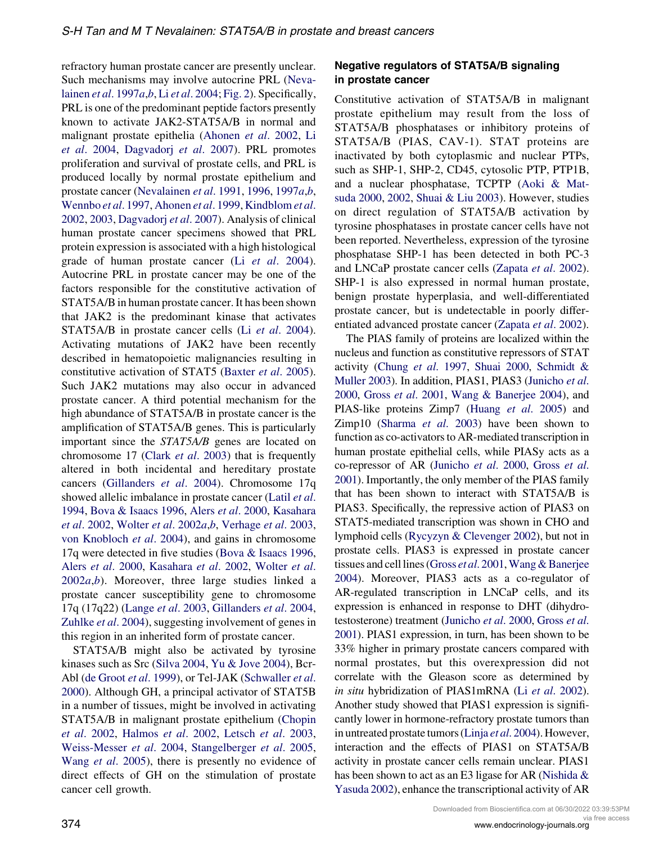refractory human prostate cancer are presently unclear. Such mechanisms may involve autocrine PRL ([Neva](#page-19-0)[lainen](#page-19-0) et al. 1997a,[b](#page-19-0), Li et al[. 2004;](#page-18-0) [Fig. 2\)](#page-4-0). Specifically, PRL is one of the predominant peptide factors presently known to activate JAK2-STAT5A/B in normal and malignant prostate epithelia [\(Ahonen](#page-15-0) et al. 2002, [Li](#page-18-0) et al[. 2004,](#page-18-0) [Dagvadorj](#page-16-0) et al. 2007). PRL promotes proliferation and survival of prostate cells, and PRL is produced locally by normal prostate epithelium and prostate cancer [\(Nevalainen](#page-19-0) et al. 1991, [1996](#page-19-0), [1997](#page-19-0)a,[b](#page-19-0), [Wennbo](#page-22-0) et al. 1997, [Ahonen](#page-15-0) et al. 1999, [Kindblom](#page-18-0) et al. [2002,](#page-18-0) [2003](#page-18-0), [Dagvadorj](#page-16-0) et al. 2007). Analysis of clinical human prostate cancer specimens showed that PRL protein expression is associated with a high histological grade of human prostate cancer (Li et al[. 2004](#page-18-0)). Autocrine PRL in prostate cancer may be one of the factors responsible for the constitutive activation of STAT5A/B in human prostate cancer. It has been shown that JAK2 is the predominant kinase that activates STAT5A/B in prostate cancer cells (Li et al[. 2004](#page-18-0)). Activating mutations of JAK2 have been recently described in hematopoietic malignancies resulting in constitutive activation of STAT5 ([Baxter](#page-15-0) et al. 2005). Such JAK2 mutations may also occur in advanced prostate cancer. A third potential mechanism for the high abundance of STAT5A/B in prostate cancer is the amplification of STAT5A/B genes. This is particularly important since the STAT5A/B genes are located on chromosome 17 (Clark et al[. 2003](#page-15-0)) that is frequently altered in both incidental and hereditary prostate cancers ([Gillanders](#page-16-0) et al. 2004). Chromosome 17q showed allelic imbalance in prostate cancer [\(Latil](#page-18-0) et al. [1994,](#page-18-0) [Bova & Isaacs 1996](#page-15-0), Alers et al[. 2000,](#page-15-0) [Kasahara](#page-17-0) et al[. 2002](#page-17-0), [Wolter](#page-22-0) et al. 2002a,[b](#page-22-0), [Verhage](#page-22-0) et al. 2003, [von Knobloch](#page-18-0) et al. 2004), and gains in chromosome 17q were detected in five studies [\(Bova & Isaacs 1996,](#page-15-0) Alers et al[. 2000,](#page-15-0) [Kasahara](#page-17-0) et al. 2002, [Wolter](#page-22-0) et al.  $2002a,b$  $2002a,b$  $2002a,b$ ). Moreover, three large studies linked a prostate cancer susceptibility gene to chromosome 17q (17q22) (Lange et al[. 2003,](#page-18-0) [Gillanders](#page-16-0) et al. 2004, [Zuhlke](#page-23-0) et al. 2004), suggesting involvement of genes in this region in an inherited form of prostate cancer.

STAT5A/B might also be activated by tyrosine kinases such as Src [\(Silva 2004,](#page-21-0) [Yu & Jove 2004](#page-23-0)), Bcr-Abl [\(de Groot](#page-16-0) et al. 1999), or Tel-JAK [\(Schwaller](#page-21-0) et al. [2000\)](#page-21-0). Although GH, a principal activator of STAT5B in a number of tissues, might be involved in activating STAT5A/B in malignant prostate epithelium ([Chopin](#page-15-0) et al[. 2002,](#page-15-0) [Halmos](#page-17-0) et al. 2002, Letsch et al[. 2003,](#page-18-0) [Weiss-Messer](#page-22-0) et al. 2004, [Stangelberger](#page-21-0) et al. 2005, Wang *et al.* 2005), there is presently no evidence of direct effects of GH on the stimulation of prostate cancer cell growth.

#### Negative regulators of STAT5A/B signaling in prostate cancer

Constitutive activation of STAT5A/B in malignant prostate epithelium may result from the loss of STAT5A/B phosphatases or inhibitory proteins of STAT5A/B (PIAS, CAV-1). STAT proteins are inactivated by both cytoplasmic and nuclear PTPs, such as SHP-1, SHP-2, CD45, cytosolic PTP, PTP1B, and a nuclear phosphatase, TCPTP ([Aoki & Mat](#page-15-0)[suda 2000,](#page-15-0) [2002](#page-15-0), [Shuai & Liu 2003\)](#page-21-0). However, studies on direct regulation of STAT5A/B activation by tyrosine phosphatases in prostate cancer cells have not been reported. Nevertheless, expression of the tyrosine phosphatase SHP-1 has been detected in both PC-3 and LNCaP prostate cancer cells [\(Zapata](#page-23-0) et al. 2002). SHP-1 is also expressed in normal human prostate, benign prostate hyperplasia, and well-differentiated prostate cancer, but is undetectable in poorly differ-entiated advanced prostate cancer ([Zapata](#page-23-0) et al. 2002).

The PIAS family of proteins are localized within the nucleus and function as constitutive repressors of STAT activity (Chung et al[. 1997,](#page-15-0) [Shuai 2000](#page-21-0), [Schmidt &](#page-21-0) [Muller 2003\)](#page-21-0). In addition, PIAS1, PIAS3 ([Junicho](#page-17-0) et al. [2000,](#page-17-0) Gross et al[. 2001,](#page-17-0) [Wang & Banerjee 2004\)](#page-22-0), and PIAS-like proteins Zimp7 (Huang et al[. 2005](#page-17-0)) and Zimp10 [\(Sharma](#page-21-0) et al. 2003) have been shown to function as co-activators to AR-mediated transcription in human prostate epithelial cells, while PIASy acts as a co-repressor of AR [\(Junicho](#page-17-0) et al. 2000, [Gross](#page-17-0) et al. [2001\)](#page-17-0). Importantly, the only member of the PIAS family that has been shown to interact with STAT5A/B is PIAS3. Specifically, the repressive action of PIAS3 on STAT5-mediated transcription was shown in CHO and lymphoid cells ([Rycyzyn & Clevenger 2002](#page-20-0)), but not in prostate cells. PIAS3 is expressed in prostate cancer tissues and cell lines (Gross *et al.* 2001, [Wang & Banerjee](#page-22-0) [2004\)](#page-22-0). Moreover, PIAS3 acts as a co-regulator of AR-regulated transcription in LNCaP cells, and its expression is enhanced in response to DHT (dihydrotestosterone) treatment [\(Junicho](#page-17-0) et al. 2000, [Gross](#page-17-0) et al. [2001\)](#page-17-0). PIAS1 expression, in turn, has been shown to be 33% higher in primary prostate cancers compared with normal prostates, but this overexpression did not correlate with the Gleason score as determined by in situ hybridization of PIAS1mRNA (Li et al[. 2002](#page-18-0)). Another study showed that PIAS1 expression is significantly lower in hormone-refractory prostate tumors than in untreated prostate tumors (Linja et al[. 2004\)](#page-18-0). However, interaction and the effects of PIAS1 on STAT5A/B activity in prostate cancer cells remain unclear. PIAS1 has been shown to act as an E3 ligase for AR ([Nishida &](#page-20-0) [Yasuda 2002\)](#page-20-0), enhance the transcriptional activity of AR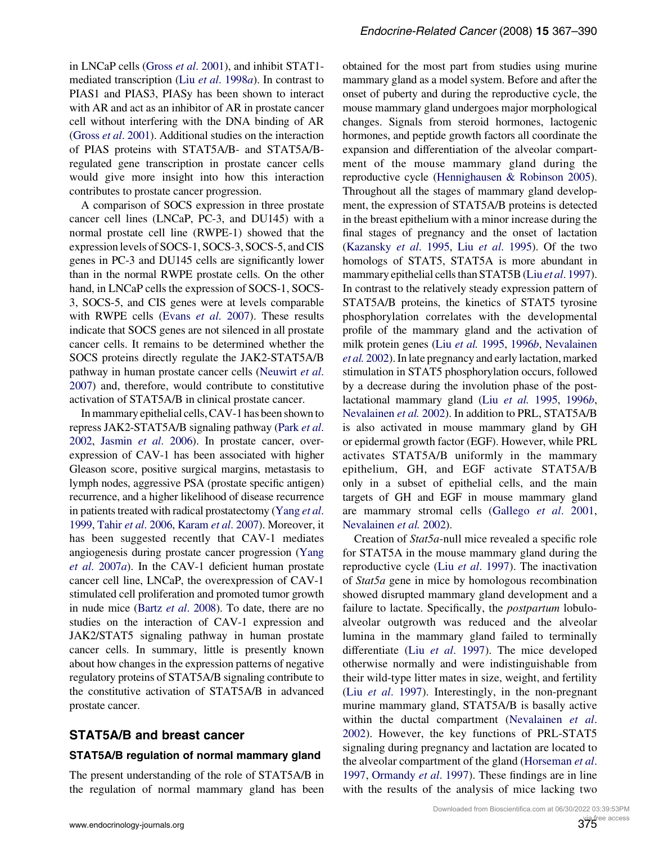in LNCaP cells (Gross et al[. 2001](#page-17-0)), and inhibit STAT1 mediated transcription (Liu et al[. 1998](#page-19-0)a). In contrast to PIAS1 and PIAS3, PIASy has been shown to interact with AR and act as an inhibitor of AR in prostate cancer cell without interfering with the DNA binding of AR (Gross et al[. 2001](#page-17-0)). Additional studies on the interaction of PIAS proteins with STAT5A/B- and STAT5A/Bregulated gene transcription in prostate cancer cells would give more insight into how this interaction contributes to prostate cancer progression.

A comparison of SOCS expression in three prostate cancer cell lines (LNCaP, PC-3, and DU145) with a normal prostate cell line (RWPE-1) showed that the expression levels of SOCS-1, SOCS-3, SOCS-5, and CIS genes in PC-3 and DU145 cells are significantly lower than in the normal RWPE prostate cells. On the other hand, in LNCaP cells the expression of SOCS-1, SOCS-3, SOCS-5, and CIS genes were at levels comparable with RWPE cells (Evans et al[. 2007\)](#page-16-0). These results indicate that SOCS genes are not silenced in all prostate cancer cells. It remains to be determined whether the SOCS proteins directly regulate the JAK2-STAT5A/B pathway in human prostate cancer cells ([Neuwirt](#page-19-0) et al. [2007](#page-19-0)) and, therefore, would contribute to constitutive activation of STAT5A/B in clinical prostate cancer.

In mammary epithelial cells, CAV-1 has been shown to repress JAK2-STAT5A/B signaling pathway [\(Park](#page-20-0) et al. [2002](#page-20-0), Jasmin et al[. 2006\)](#page-17-0). In prostate cancer, overexpression of CAV-1 has been associated with higher Gleason score, positive surgical margins, metastasis to lymph nodes, aggressive PSA (prostate specific antigen) recurrence, and a higher likelihood of disease recurrence in patients treated with radical prostatectomy [\(Yang](#page-23-0) et al. [1999](#page-23-0), Tahir et al[. 2006](#page-21-0), [Karam](#page-17-0) et al. 2007). Moreover, it has been suggested recently that CAV-1 mediates angiogenesis during prostate cancer progression ([Yang](#page-23-0) et al[. 2007](#page-23-0)a). In the CAV-1 deficient human prostate cancer cell line, LNCaP, the overexpression of CAV-1 stimulated cell proliferation and promoted tumor growth in nude mice (Bartz et al[. 2008](#page-15-0)). To date, there are no studies on the interaction of CAV-1 expression and JAK2/STAT5 signaling pathway in human prostate cancer cells. In summary, little is presently known about how changes in the expression patterns of negative regulatory proteins of STAT5A/B signaling contribute to the constitutive activation of STAT5A/B in advanced prostate cancer.

#### STAT5A/B and breast cancer

#### STAT5A/B regulation of normal mammary gland

The present understanding of the role of STAT5A/B in the regulation of normal mammary gland has been obtained for the most part from studies using murine mammary gland as a model system. Before and after the onset of puberty and during the reproductive cycle, the mouse mammary gland undergoes major morphological changes. Signals from steroid hormones, lactogenic hormones, and peptide growth factors all coordinate the expansion and differentiation of the alveolar compartment of the mouse mammary gland during the reproductive cycle [\(Hennighausen & Robinson 2005](#page-17-0)). Throughout all the stages of mammary gland development, the expression of STAT5A/B proteins is detected in the breast epithelium with a minor increase during the final stages of pregnancy and the onset of lactation [\(Kazansky](#page-18-0) et al. 1995, Liu et al[. 1995\)](#page-19-0). Of the two homologs of STAT5, STAT5A is more abundant in mammary epithelial cells than STAT5B (Liu et al[. 1997](#page-19-0)). In contrast to the relatively steady expression pattern of STAT5A/B proteins, the kinetics of STAT5 tyrosine phosphorylation correlates with the developmental profile of the mammary gland and the activation of milk protein genes (Liu [et al.](#page-19-0) 1995, [1996](#page-19-0)b, [Nevalainen](#page-20-0) et al. [2002\)](#page-20-0). Inlate pregnancy and early lactation, marked stimulation in STAT5 phosphorylation occurs, followed by a decrease during the involution phase of the postlactational mammary gland (Liu [et al.](#page-19-0) 1995, [1996](#page-19-0)b, [Nevalainen](#page-20-0) et al. 2002). In addition to PRL, STAT5A/B is also activated in mouse mammary gland by GH or epidermal growth factor (EGF). However, while PRL activates STAT5A/B uniformly in the mammary epithelium, GH, and EGF activate STAT5A/B only in a subset of epithelial cells, and the main targets of GH and EGF in mouse mammary gland are mammary stromal cells ([Gallego](#page-16-0) et al. 2001, [Nevalainen](#page-20-0) et al. 2002).

Creation of Stat5a-null mice revealed a specific role for STAT5A in the mouse mammary gland during the reproductive cycle (Liu et al[. 1997](#page-19-0)). The inactivation of Stat5a gene in mice by homologous recombination showed disrupted mammary gland development and a failure to lactate. Specifically, the *postpartum* lobuloalveolar outgrowth was reduced and the alveolar lumina in the mammary gland failed to terminally differentiate (Liu et al[. 1997](#page-19-0)). The mice developed otherwise normally and were indistinguishable from their wild-type litter mates in size, weight, and fertility (Liu et al[. 1997](#page-19-0)). Interestingly, in the non-pregnant murine mammary gland, STAT5A/B is basally active within the ductal compartment [\(Nevalainen](#page-20-0) et al. [2002\)](#page-20-0). However, the key functions of PRL-STAT5 signaling during pregnancy and lactation are located to the alveolar compartment of the gland [\(Horseman](#page-17-0) et al. [1997,](#page-17-0) [Ormandy](#page-20-0) et al. 1997). These findings are in line with the results of the analysis of mice lacking two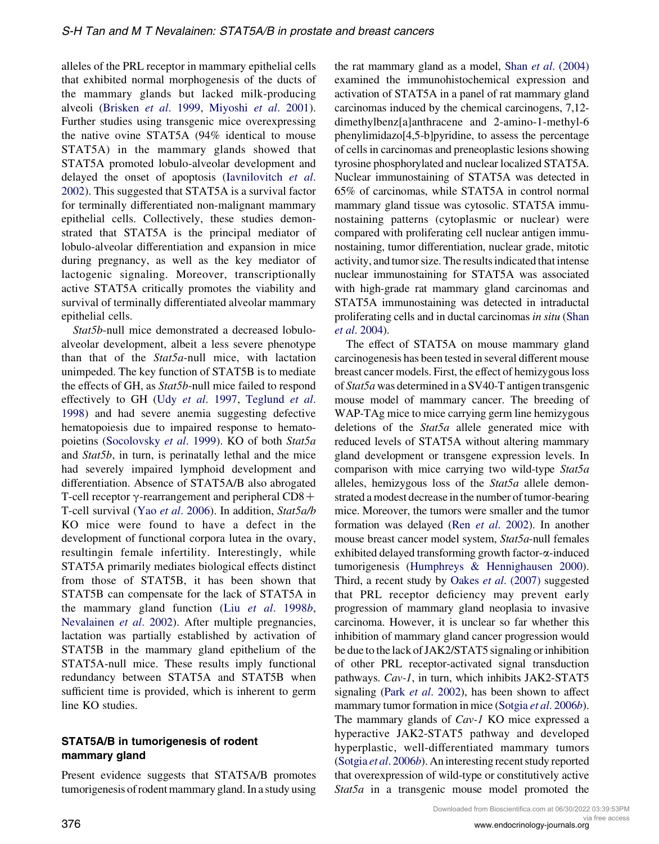alleles of the PRL receptor in mammary epithelial cells that exhibited normal morphogenesis of the ducts of the mammary glands but lacked milk-producing alveoli ([Brisken](#page-15-0) et al. 1999, [Miyoshi](#page-19-0) et al. 2001). Further studies using transgenic mice overexpressing the native ovine STAT5A (94% identical to mouse STAT5A) in the mammary glands showed that STAT5A promoted lobulo-alveolar development and delayed the onset of apoptosis ([Iavnilovitch](#page-17-0) et al. [2002\)](#page-17-0). This suggested that STAT5A is a survival factor for terminally differentiated non-malignant mammary epithelial cells. Collectively, these studies demonstrated that STAT5A is the principal mediator of lobulo-alveolar differentiation and expansion in mice during pregnancy, as well as the key mediator of lactogenic signaling. Moreover, transcriptionally active STAT5A critically promotes the viability and survival of terminally differentiated alveolar mammary epithelial cells.

Stat5b-null mice demonstrated a decreased lobuloalveolar development, albeit a less severe phenotype than that of the  $Stat5a$ -null mice, with lactation unimpeded. The key function of STAT5B is to mediate the effects of GH, as Stat5b-null mice failed to respond effectively to GH (Udy et al[. 1997](#page-22-0), [Teglund](#page-22-0) et al. [1998\)](#page-22-0) and had severe anemia suggesting defective hematopoiesis due to impaired response to hemato-poietins [\(Socolovsky](#page-21-0) et al. 1999). KO of both Stat5a and Stat5b, in turn, is perinatally lethal and the mice had severely impaired lymphoid development and differentiation. Absence of STAT5A/B also abrogated T-cell receptor  $\gamma$ -rearrangement and peripheral CD8+ T-cell survival (Yao et al[. 2006\)](#page-23-0). In addition, Stat5a/b KO mice were found to have a defect in the development of functional corpora lutea in the ovary, resultingin female infertility. Interestingly, while STAT5A primarily mediates biological effects distinct from those of STAT5B, it has been shown that STAT5B can compensate for the lack of STAT5A in the mammary gland function (Liu et al[. 1998](#page-19-0)b, [Nevalainen](#page-20-0) et al. 2002). After multiple pregnancies, lactation was partially established by activation of STAT5B in the mammary gland epithelium of the STAT5A-null mice. These results imply functional redundancy between STAT5A and STAT5B when sufficient time is provided, which is inherent to germ line KO studies.

### STAT5A/B in tumorigenesis of rodent mammary gland

Present evidence suggests that STAT5A/B promotes tumorigenesis of rodent mammary gland. In a study using the rat mammary gland as a model, Shan et al[. \(2004\)](#page-21-0) examined the immunohistochemical expression and activation of STAT5A in a panel of rat mammary gland carcinomas induced by the chemical carcinogens, 7,12 dimethylbenz[a]anthracene and 2-amino-1-methyl-6 phenylimidazo[4,5-b]pyridine, to assess the percentage of cells in carcinomas and preneoplastic lesions showing tyrosine phosphorylated and nuclear localized STAT5A. Nuclear immunostaining of STAT5A was detected in 65% of carcinomas, while STAT5A in control normal mammary gland tissue was cytosolic. STAT5A immunostaining patterns (cytoplasmic or nuclear) were compared with proliferating cell nuclear antigen immunostaining, tumor differentiation, nuclear grade, mitotic activity, and tumor size. The results indicated that intense nuclear immunostaining for STAT5A was associated with high-grade rat mammary gland carcinomas and STAT5A immunostaining was detected in intraductal proliferating cells and in ductal carcinomas in situ ([Shan](#page-21-0) et al[. 2004\)](#page-21-0).

The effect of STAT5A on mouse mammary gland carcinogenesis has been tested in several different mouse breast cancer models. First, the effect of hemizygous loss of Stat5a was determined in a SV40-T antigen transgenic mouse model of mammary cancer. The breeding of WAP-TAg mice to mice carrying germ line hemizygous deletions of the Stat5a allele generated mice with reduced levels of STAT5A without altering mammary gland development or transgene expression levels. In comparison with mice carrying two wild-type Stat5a alleles, hemizygous loss of the Stat5a allele demonstrated a modest decrease in the number of tumor-bearing mice. Moreover, the tumors were smaller and the tumor formation was delayed (Ren et al[. 2002](#page-20-0)). In another mouse breast cancer model system, Stat5a-null females exhibited delayed transforming growth factor- $\alpha$ -induced tumorigenesis ([Humphreys & Hennighausen 2000](#page-17-0)). Third, a recent study by Oakes et al[. \(2007\)](#page-20-0) suggested that PRL receptor deficiency may prevent early progression of mammary gland neoplasia to invasive carcinoma. However, it is unclear so far whether this inhibition of mammary gland cancer progression would be due to the lack of JAK2/STAT5 signaling or inhibition of other PRL receptor-activated signal transduction pathways. Cav-1, in turn, which inhibits JAK2-STAT5 signaling (Park et al[. 2002](#page-20-0)), has been shown to affect mammary tumor formation in mice [\(Sotgia](#page-21-0) et al. 2006b). The mammary glands of *Cav-1* KO mice expressed a hyperactive JAK2-STAT5 pathway and developed hyperplastic, well-differentiated mammary tumors [\(Sotgia](#page-21-0) et al. 2006b). An interesting recent study reported that overexpression of wild-type or constitutively active Stat5a in a transgenic mouse model promoted the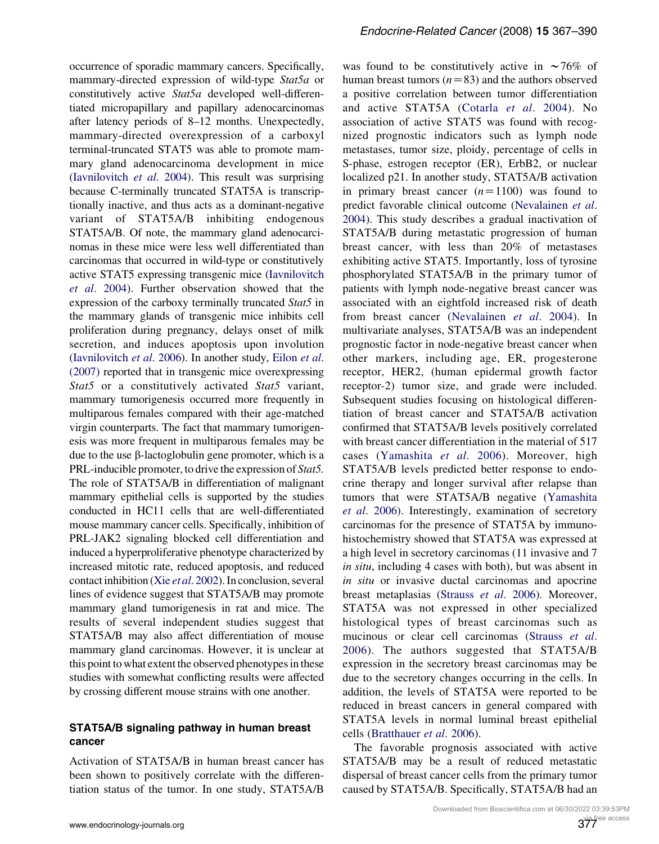occurrence of sporadic mammary cancers. Specifically, mammary-directed expression of wild-type Stat5a or constitutively active Stat5a developed well-differentiated micropapillary and papillary adenocarcinomas after latency periods of 8–12 months. Unexpectedly, mammary-directed overexpression of a carboxyl terminal-truncated STAT5 was able to promote mammary gland adenocarcinoma development in mice [\(Iavnilovitch](#page-17-0) et al. 2004). This result was surprising because C-terminally truncated STAT5A is transcriptionally inactive, and thus acts as a dominant-negative variant of STAT5A/B inhibiting endogenous STAT5A/B. Of note, the mammary gland adenocarcinomas in these mice were less well differentiated than carcinomas that occurred in wild-type or constitutively active STAT5 expressing transgenic mice ([Iavnilovitch](#page-17-0) et al[. 2004](#page-17-0)). Further observation showed that the expression of the carboxy terminally truncated Stat5 in the mammary glands of transgenic mice inhibits cell proliferation during pregnancy, delays onset of milk secretion, and induces apoptosis upon involution [\(Iavnilovitch](#page-17-0) et al. 2006). In another study, [Eilon](#page-16-0) et al. [\(2007\)](#page-16-0) reported that in transgenic mice overexpressing Stat5 or a constitutively activated Stat5 variant, mammary tumorigenesis occurred more frequently in multiparous females compared with their age-matched virgin counterparts. The fact that mammary tumorigenesis was more frequent in multiparous females may be due to the use β-lactoglobulin gene promoter, which is a PRL-inducible promoter, to drive the expression of Stat5. The role of STAT5A/B in differentiation of malignant mammary epithelial cells is supported by the studies conducted in HC11 cells that are well-differentiated mouse mammary cancer cells. Specifically, inhibition of PRL-JAK2 signaling blocked cell differentiation and induced a hyperproliferative phenotype characterized by increased mitotic rate, reduced apoptosis, and reduced contact inhibition (Xie et al[. 2002\)](#page-22-0). In conclusion, several lines of evidence suggest that STAT5A/B may promote mammary gland tumorigenesis in rat and mice. The results of several independent studies suggest that STAT5A/B may also affect differentiation of mouse mammary gland carcinomas. However, it is unclear at this point to what extent the observed phenotypes in these studies with somewhat conflicting results were affected by crossing different mouse strains with one another.

#### STAT5A/B signaling pathway in human breast cancer

Activation of STAT5A/B in human breast cancer has been shown to positively correlate with the differentiation status of the tumor. In one study, STAT5A/B was found to be constitutively active in  $\sim 76\%$  of human breast tumors  $(n=83)$  and the authors observed a positive correlation between tumor differentiation and active STAT5A ([Cotarla](#page-16-0) et al. 2004). No association of active STAT5 was found with recognized prognostic indicators such as lymph node metastases, tumor size, ploidy, percentage of cells in S-phase, estrogen receptor (ER), ErbB2, or nuclear localized p21. In another study, STAT5A/B activation in primary breast cancer  $(n=1100)$  was found to predict favorable clinical outcome [\(Nevalainen](#page-20-0) et al. [2004\)](#page-20-0). This study describes a gradual inactivation of STAT5A/B during metastatic progression of human breast cancer, with less than 20% of metastases exhibiting active STAT5. Importantly, loss of tyrosine phosphorylated STAT5A/B in the primary tumor of patients with lymph node-negative breast cancer was associated with an eightfold increased risk of death from breast cancer ([Nevalainen](#page-20-0) et al. 2004). In multivariate analyses, STAT5A/B was an independent prognostic factor in node-negative breast cancer when other markers, including age, ER, progesterone receptor, HER2, (human epidermal growth factor receptor-2) tumor size, and grade were included. Subsequent studies focusing on histological differentiation of breast cancer and STAT5A/B activation confirmed that STAT5A/B levels positively correlated with breast cancer differentiation in the material of 517 cases [\(Yamashita](#page-23-0) et al. 2006). Moreover, high STAT5A/B levels predicted better response to endocrine therapy and longer survival after relapse than tumors that were STAT5A/B negative [\(Yamashita](#page-23-0) et al[. 2006\)](#page-23-0). Interestingly, examination of secretory carcinomas for the presence of STAT5A by immunohistochemistry showed that STAT5A was expressed at a high level in secretory carcinomas (11 invasive and 7 in situ, including 4 cases with both), but was absent in in situ or invasive ductal carcinomas and apocrine breast metaplasias [\(Strauss](#page-21-0) et al. 2006). Moreover, STAT5A was not expressed in other specialized histological types of breast carcinomas such as mucinous or clear cell carcinomas ([Strauss](#page-21-0) et al. [2006](#page-21-0)). The authors suggested that STAT5A/B expression in the secretory breast carcinomas may be due to the secretory changes occurring in the cells. In addition, the levels of STAT5A were reported to be reduced in breast cancers in general compared with STAT5A levels in normal luminal breast epithelial cells ([Bratthauer](#page-15-0) et al. 2006).

The favorable prognosis associated with active STAT5A/B may be a result of reduced metastatic dispersal of breast cancer cells from the primary tumor caused by STAT5A/B. Specifically, STAT5A/B had an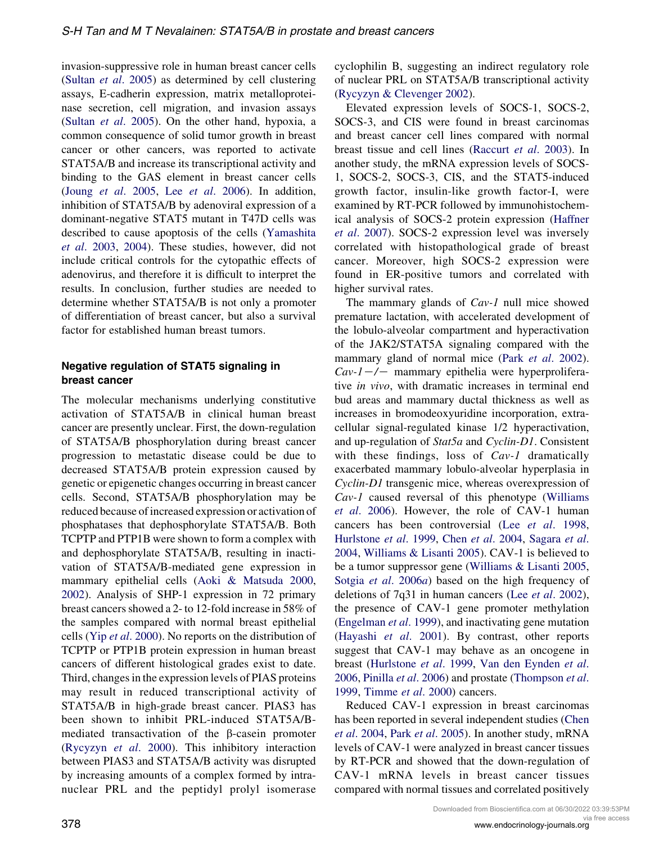invasion-suppressive role in human breast cancer cells (Sultan et al[. 2005](#page-21-0)) as determined by cell clustering assays, E-cadherin expression, matrix metalloproteinase secretion, cell migration, and invasion assays (Sultan et al[. 2005\)](#page-21-0). On the other hand, hypoxia, a common consequence of solid tumor growth in breast cancer or other cancers, was reported to activate STAT5A/B and increase its transcriptional activity and binding to the GAS element in breast cancer cells (Joung et al[. 2005](#page-17-0), Lee et al[. 2006\)](#page-18-0). In addition, inhibition of STAT5A/B by adenoviral expression of a dominant-negative STAT5 mutant in T47D cells was described to cause apoptosis of the cells [\(Yamashita](#page-23-0) et al[. 2003,](#page-23-0) [2004\)](#page-23-0). These studies, however, did not include critical controls for the cytopathic effects of adenovirus, and therefore it is difficult to interpret the results. In conclusion, further studies are needed to determine whether STAT5A/B is not only a promoter of differentiation of breast cancer, but also a survival factor for established human breast tumors.

#### Negative regulation of STAT5 signaling in breast cancer

The molecular mechanisms underlying constitutive activation of STAT5A/B in clinical human breast cancer are presently unclear. First, the down-regulation of STAT5A/B phosphorylation during breast cancer progression to metastatic disease could be due to decreased STAT5A/B protein expression caused by genetic or epigenetic changes occurring in breast cancer cells. Second, STAT5A/B phosphorylation may be reduced because of increased expression or activation of phosphatases that dephosphorylate STAT5A/B. Both TCPTP and PTP1B were shown to form a complex with and dephosphorylate STAT5A/B, resulting in inactivation of STAT5A/B-mediated gene expression in mammary epithelial cells [\(Aoki & Matsuda 2000,](#page-15-0) [2002\)](#page-15-0). Analysis of SHP-1 expression in 72 primary breast cancers showed a 2- to 12-fold increase in 58% of the samples compared with normal breast epithelial cells (Yip et al[. 2000](#page-23-0)). No reports on the distribution of TCPTP or PTP1B protein expression in human breast cancers of different histological grades exist to date. Third, changes in the expression levels of PIAS proteins may result in reduced transcriptional activity of STAT5A/B in high-grade breast cancer. PIAS3 has been shown to inhibit PRL-induced STAT5A/Bmediated transactivation of the  $\beta$ -casein promoter [\(Rycyzyn](#page-20-0) et al. 2000). This inhibitory interaction between PIAS3 and STAT5A/B activity was disrupted by increasing amounts of a complex formed by intranuclear PRL and the peptidyl prolyl isomerase

cyclophilin B, suggesting an indirect regulatory role of nuclear PRL on STAT5A/B transcriptional activity [\(Rycyzyn & Clevenger 2002](#page-20-0)).

Elevated expression levels of SOCS-1, SOCS-2, SOCS-3, and CIS were found in breast carcinomas and breast cancer cell lines compared with normal breast tissue and cell lines [\(Raccurt](#page-20-0) et al. 2003). In another study, the mRNA expression levels of SOCS-1, SOCS-2, SOCS-3, CIS, and the STAT5-induced growth factor, insulin-like growth factor-I, were examined by RT-PCR followed by immunohistochemical analysis of SOCS-2 protein expression ([Haffner](#page-17-0) et al[. 2007\)](#page-17-0). SOCS-2 expression level was inversely correlated with histopathological grade of breast cancer. Moreover, high SOCS-2 expression were found in ER-positive tumors and correlated with higher survival rates.

The mammary glands of Cav-1 null mice showed premature lactation, with accelerated development of the lobulo-alveolar compartment and hyperactivation of the JAK2/STAT5A signaling compared with the mammary gland of normal mice (Park et al[. 2002](#page-20-0)).  $Cav-1$  –/– mammary epithelia were hyperproliferative in vivo, with dramatic increases in terminal end bud areas and mammary ductal thickness as well as increases in bromodeoxyuridine incorporation, extracellular signal-regulated kinase 1/2 hyperactivation, and up-regulation of Stat5a and Cyclin-D1. Consistent with these findings, loss of Cav-1 dramatically exacerbated mammary lobulo-alveolar hyperplasia in Cyclin-D1 transgenic mice, whereas overexpression of Cav-1 caused reversal of this phenotype [\(Williams](#page-22-0) et al[. 2006\)](#page-22-0). However, the role of CAV-1 human cancers has been controversial (Lee et al[. 1998,](#page-18-0) [Hurlstone](#page-17-0) et al. 1999, Chen et al[. 2004,](#page-15-0) [Sagara](#page-20-0) et al. [2004,](#page-20-0) [Williams & Lisanti 2005](#page-22-0)). CAV-1 is believed to be a tumor suppressor gene [\(Williams & Lisanti 2005,](#page-22-0) Sotgia et al[. 2006](#page-21-0)a) based on the high frequency of deletions of 7q31 in human cancers (Lee et al[. 2002](#page-18-0)), the presence of CAV-1 gene promoter methylation [\(Engelman](#page-16-0) et al. 1999), and inactivating gene mutation [\(Hayashi](#page-17-0) et al. 2001). By contrast, other reports suggest that CAV-1 may behave as an oncogene in breast ([Hurlstone](#page-17-0) et al. 1999, [Van den Eynden](#page-16-0) et al. [2006,](#page-16-0) [Pinilla](#page-20-0) et al. 2006) and prostate [\(Thompson](#page-22-0) et al. [1999,](#page-22-0) [Timme](#page-22-0) et al. 2000) cancers.

Reduced CAV-1 expression in breast carcinomas has been reported in several independent studies [\(Chen](#page-15-0) et al[. 2004,](#page-15-0) Park et al[. 2005\)](#page-20-0). In another study, mRNA levels of CAV-1 were analyzed in breast cancer tissues by RT-PCR and showed that the down-regulation of CAV-1 mRNA levels in breast cancer tissues compared with normal tissues and correlated positively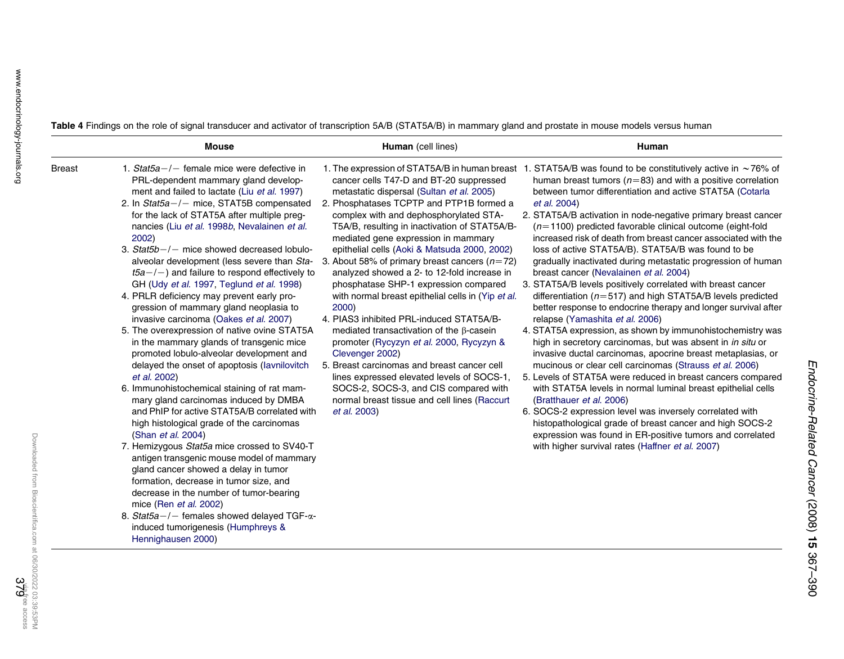Table 4 Findings on the role of signal transducer and activator of transcription 5A/B (STAT5A/B) in mammary gland and prostate in mouse models versus human

|               | <b>Mouse</b>                                                                                                                                                                                                                                                                                                                                                                                                                                                                                                                                                                                                                                                                                                                                                                                                                                                                                                                                                                                                                                                                                                                                                                                                                                                                                                                                                                                                           | Human (cell lines)                                                                                                                                                                                                                                                                                                                                                                                                                                                                                                                                                                                                                                                                                                                                                                                                                                                                                                                                  | Human                                                                                                                                                                                                                                                                                                                                                                                                                                                                                                                                                                                                                                                                                                                                                                                                                                                                                                                                                                                                                                                                                                                                                                                                                                                                                                                                                                                                                                                                              |
|---------------|------------------------------------------------------------------------------------------------------------------------------------------------------------------------------------------------------------------------------------------------------------------------------------------------------------------------------------------------------------------------------------------------------------------------------------------------------------------------------------------------------------------------------------------------------------------------------------------------------------------------------------------------------------------------------------------------------------------------------------------------------------------------------------------------------------------------------------------------------------------------------------------------------------------------------------------------------------------------------------------------------------------------------------------------------------------------------------------------------------------------------------------------------------------------------------------------------------------------------------------------------------------------------------------------------------------------------------------------------------------------------------------------------------------------|-----------------------------------------------------------------------------------------------------------------------------------------------------------------------------------------------------------------------------------------------------------------------------------------------------------------------------------------------------------------------------------------------------------------------------------------------------------------------------------------------------------------------------------------------------------------------------------------------------------------------------------------------------------------------------------------------------------------------------------------------------------------------------------------------------------------------------------------------------------------------------------------------------------------------------------------------------|------------------------------------------------------------------------------------------------------------------------------------------------------------------------------------------------------------------------------------------------------------------------------------------------------------------------------------------------------------------------------------------------------------------------------------------------------------------------------------------------------------------------------------------------------------------------------------------------------------------------------------------------------------------------------------------------------------------------------------------------------------------------------------------------------------------------------------------------------------------------------------------------------------------------------------------------------------------------------------------------------------------------------------------------------------------------------------------------------------------------------------------------------------------------------------------------------------------------------------------------------------------------------------------------------------------------------------------------------------------------------------------------------------------------------------------------------------------------------------|
| <b>Breast</b> | 1. Stat $5a$ -/- female mice were defective in<br>PRL-dependent mammary gland develop-<br>ment and failed to lactate (Liu et al. 1997)<br>2. In $Stat5a-/-$ mice, STAT5B compensated<br>for the lack of STAT5A after multiple preg-<br>nancies (Liu et al. 1998b, Nevalainen et al.<br>2002)<br>3. $Stat5b-/-$ mice showed decreased lobulo-<br>alveolar development (less severe than Sta-<br>$t5a-/-$ ) and failure to respond effectively to<br>GH (Udy et al. 1997, Teglund et al. 1998)<br>4. PRLR deficiency may prevent early pro-<br>gression of mammary gland neoplasia to<br>invasive carcinoma (Oakes et al. 2007)<br>5. The overexpression of native ovine STAT5A<br>in the mammary glands of transgenic mice<br>promoted lobulo-alveolar development and<br>delayed the onset of apoptosis (lavnilovitch<br>et al. 2002)<br>6. Immunohistochemical staining of rat mam-<br>mary gland carcinomas induced by DMBA<br>and PhIP for active STAT5A/B correlated with<br>high histological grade of the carcinomas<br>(Shan et al. 2004)<br>7. Hemizygous Stat5a mice crossed to SV40-T<br>antigen transgenic mouse model of mammary<br>gland cancer showed a delay in tumor<br>formation, decrease in tumor size, and<br>decrease in the number of tumor-bearing<br>mice (Ren et al. 2002)<br>8. Stat5a-/- females showed delayed TGF- $\alpha$ -<br>induced tumorigenesis (Humphreys &<br>Hennighausen 2000) | 1. The expression of STAT5A/B in human breast<br>cancer cells T47-D and BT-20 suppressed<br>metastatic dispersal (Sultan et al. 2005)<br>2. Phosphatases TCPTP and PTP1B formed a<br>complex with and dephosphorylated STA-<br>T5A/B, resulting in inactivation of STAT5A/B-<br>mediated gene expression in mammary<br>epithelial cells (Aoki & Matsuda 2000, 2002)<br>3. About 58% of primary breast cancers ( $n=72$ )<br>analyzed showed a 2- to 12-fold increase in<br>phosphatase SHP-1 expression compared<br>with normal breast epithelial cells in (Yip et al.<br>2000)<br>4. PIAS3 inhibited PRL-induced STAT5A/B-<br>mediated transactivation of the $\beta$ -casein<br>promoter (Rycyzyn et al. 2000, Rycyzyn &<br>Clevenger 2002)<br>5. Breast carcinomas and breast cancer cell<br>lines expressed elevated levels of SOCS-1.<br>SOCS-2, SOCS-3, and CIS compared with<br>normal breast tissue and cell lines (Raccurt<br>et al. 2003) | 1. STAT5A/B was found to be constitutively active in $\sim$ 76% of<br>human breast tumors ( $n=83$ ) and with a positive correlation<br>between tumor differentiation and active STAT5A (Cotarla<br>et al. 2004)<br>2. STAT5A/B activation in node-negative primary breast cancer<br>$(n=1100)$ predicted favorable clinical outcome (eight-fold<br>increased risk of death from breast cancer associated with the<br>loss of active STAT5A/B). STAT5A/B was found to be<br>gradually inactivated during metastatic progression of human<br>breast cancer (Nevalainen et al. 2004)<br>3. STAT5A/B levels positively correlated with breast cancer<br>differentiation ( $n=517$ ) and high STAT5A/B levels predicted<br>better response to endocrine therapy and longer survival after<br>relapse (Yamashita et al. 2006)<br>4. STAT5A expression, as shown by immunohistochemistry was<br>high in secretory carcinomas, but was absent in in situ or<br>invasive ductal carcinomas, apocrine breast metaplasias, or<br>mucinous or clear cell carcinomas (Strauss et al. 2006)<br>5. Levels of STAT5A were reduced in breast cancers compared<br>with STAT5A levels in normal luminal breast epithelial cells<br>(Bratthauer et al. 2006)<br>6. SOCS-2 expression level was inversely correlated with<br>histopathological grade of breast cancer and high SOCS-2<br>expression was found in ER-positive tumors and correlated<br>with higher survival rates (Haffner et al. 2007) |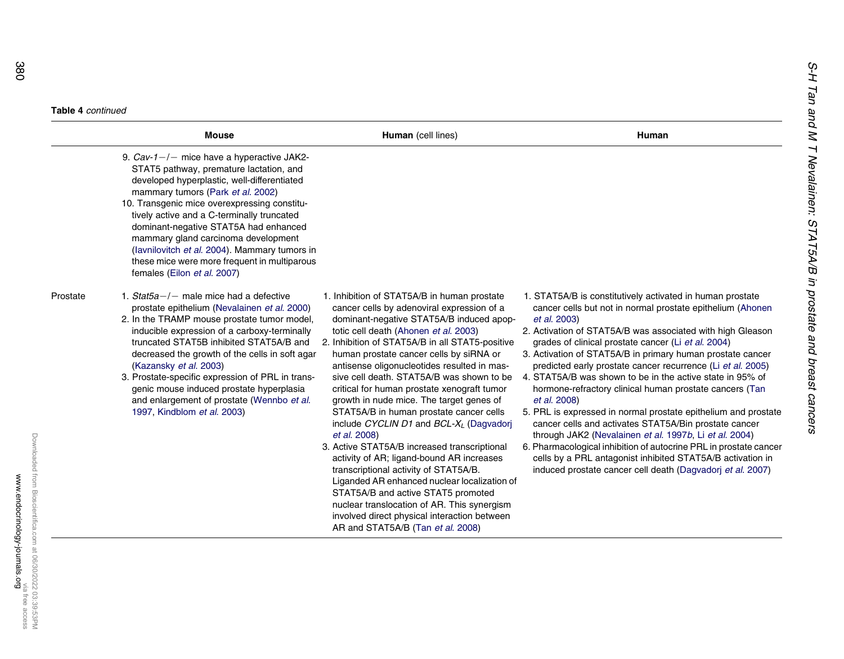#### **Table 4** continued

|          | <b>Mouse</b>                                                                                                                                                                                                                                                                                                                                                                                                                                                                                  | Human (cell lines)                                                                                                                                                                                                                                                                                                                                                                                                                                                                                                                                                                                                                                                                                                                                                                                                                                                                                                                           | Human                                                                                                                                                                                                                                                                                                                                                                                                                                                                                                                                                                                                                                                                                                                                                                                                                                                                                                                   |
|----------|-----------------------------------------------------------------------------------------------------------------------------------------------------------------------------------------------------------------------------------------------------------------------------------------------------------------------------------------------------------------------------------------------------------------------------------------------------------------------------------------------|----------------------------------------------------------------------------------------------------------------------------------------------------------------------------------------------------------------------------------------------------------------------------------------------------------------------------------------------------------------------------------------------------------------------------------------------------------------------------------------------------------------------------------------------------------------------------------------------------------------------------------------------------------------------------------------------------------------------------------------------------------------------------------------------------------------------------------------------------------------------------------------------------------------------------------------------|-------------------------------------------------------------------------------------------------------------------------------------------------------------------------------------------------------------------------------------------------------------------------------------------------------------------------------------------------------------------------------------------------------------------------------------------------------------------------------------------------------------------------------------------------------------------------------------------------------------------------------------------------------------------------------------------------------------------------------------------------------------------------------------------------------------------------------------------------------------------------------------------------------------------------|
|          | 9. $Cav-1-/-$ mice have a hyperactive JAK2-<br>STAT5 pathway, premature lactation, and<br>developed hyperplastic, well-differentiated<br>mammary tumors (Park et al. 2002)<br>10. Transgenic mice overexpressing constitu-<br>tively active and a C-terminally truncated<br>dominant-negative STAT5A had enhanced<br>mammary gland carcinoma development<br>(lavnilovitch et al. 2004). Mammary tumors in<br>these mice were more frequent in multiparous<br>females (Eilon et al. 2007)      |                                                                                                                                                                                                                                                                                                                                                                                                                                                                                                                                                                                                                                                                                                                                                                                                                                                                                                                                              |                                                                                                                                                                                                                                                                                                                                                                                                                                                                                                                                                                                                                                                                                                                                                                                                                                                                                                                         |
| Prostate | 1. Stat $5a$ -/- male mice had a defective<br>prostate epithelium (Nevalainen et al. 2000)<br>2. In the TRAMP mouse prostate tumor model,<br>inducible expression of a carboxy-terminally<br>truncated STAT5B inhibited STAT5A/B and<br>decreased the growth of the cells in soft agar<br>(Kazansky et al. 2003)<br>3. Prostate-specific expression of PRL in trans-<br>genic mouse induced prostate hyperplasia<br>and enlargement of prostate (Wennbo et al.<br>1997, Kindblom et al. 2003) | 1. Inhibition of STAT5A/B in human prostate<br>cancer cells by adenoviral expression of a<br>dominant-negative STAT5A/B induced apop-<br>totic cell death (Ahonen et al. 2003)<br>2. Inhibition of STAT5A/B in all STAT5-positive<br>human prostate cancer cells by siRNA or<br>antisense oligonucleotides resulted in mas-<br>sive cell death. STAT5A/B was shown to be<br>critical for human prostate xenograft tumor<br>growth in nude mice. The target genes of<br>STAT5A/B in human prostate cancer cells<br>include CYCLIN D1 and $BCL-X_L$ (Dagvadorj<br>et al. 2008)<br>3. Active STAT5A/B increased transcriptional<br>activity of AR; ligand-bound AR increases<br>transcriptional activity of STAT5A/B.<br>Liganded AR enhanced nuclear localization of<br>STAT5A/B and active STAT5 promoted<br>nuclear translocation of AR. This synergism<br>involved direct physical interaction between<br>AR and STAT5A/B (Tan et al. 2008) | 1. STAT5A/B is constitutively activated in human prostate<br>cancer cells but not in normal prostate epithelium (Ahonen<br>et al. 2003)<br>2. Activation of STAT5A/B was associated with high Gleason<br>grades of clinical prostate cancer (Li et al. 2004)<br>3. Activation of STAT5A/B in primary human prostate cancer<br>predicted early prostate cancer recurrence (Li et al. 2005)<br>4. STAT5A/B was shown to be in the active state in 95% of<br>hormone-refractory clinical human prostate cancers (Tan<br>et al. 2008)<br>5. PRL is expressed in normal prostate epithelium and prostate<br>cancer cells and activates STAT5A/Bin prostate cancer<br>through JAK2 (Nevalainen et al. 1997b, Li et al. 2004)<br>6. Pharmacological inhibition of autocrine PRL in prostate cancer<br>cells by a PRL antagonist inhibited STAT5A/B activation in<br>induced prostate cancer cell death (Dagvadori et al. 2007) |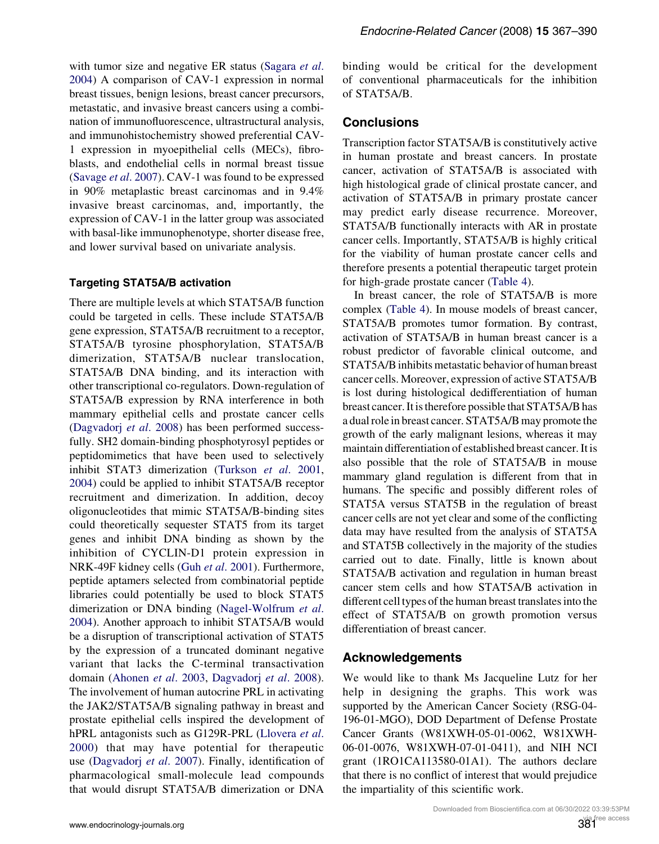with tumor size and negative ER status ([Sagara](#page-20-0) et al. [2004\)](#page-20-0) A comparison of CAV-1 expression in normal breast tissues, benign lesions, breast cancer precursors, metastatic, and invasive breast cancers using a combination of immunofluorescence, ultrastructural analysis, and immunohistochemistry showed preferential CAV-1 expression in myoepithelial cells (MECs), fibroblasts, and endothelial cells in normal breast tissue [\(Savage](#page-20-0) et al. 2007). CAV-1 was found to be expressed in 90% metaplastic breast carcinomas and in 9.4% invasive breast carcinomas, and, importantly, the expression of CAV-1 in the latter group was associated with basal-like immunophenotype, shorter disease free, and lower survival based on univariate analysis.

#### Targeting STAT5A/B activation

There are multiple levels at which STAT5A/B function could be targeted in cells. These include STAT5A/B gene expression, STAT5A/B recruitment to a receptor, STAT5A/B tyrosine phosphorylation, STAT5A/B dimerization, STAT5A/B nuclear translocation, STAT5A/B DNA binding, and its interaction with other transcriptional co-regulators. Down-regulation of STAT5A/B expression by RNA interference in both mammary epithelial cells and prostate cancer cells [\(Dagvadorj](#page-16-0) et al. 2008) has been performed successfully. SH2 domain-binding phosphotyrosyl peptides or peptidomimetics that have been used to selectively inhibit STAT3 dimerization ([Turkson](#page-22-0) et al. 2001, [2004\)](#page-22-0) could be applied to inhibit STAT5A/B receptor recruitment and dimerization. In addition, decoy oligonucleotides that mimic STAT5A/B-binding sites could theoretically sequester STAT5 from its target genes and inhibit DNA binding as shown by the inhibition of CYCLIN-D1 protein expression in NRK-49F kidney cells (Guh et al[. 2001](#page-17-0)). Furthermore, peptide aptamers selected from combinatorial peptide libraries could potentially be used to block STAT5 dimerization or DNA binding ([Nagel-Wolfrum](#page-19-0) et al. [2004\)](#page-19-0). Another approach to inhibit STAT5A/B would be a disruption of transcriptional activation of STAT5 by the expression of a truncated dominant negative variant that lacks the C-terminal transactivation domain ([Ahonen](#page-15-0) et al. 2003, [Dagvadorj](#page-16-0) et al. 2008). The involvement of human autocrine PRL in activating the JAK2/STAT5A/B signaling pathway in breast and prostate epithelial cells inspired the development of hPRL antagonists such as G129R-PRL ([Llovera](#page-19-0) et al. [2000\)](#page-19-0) that may have potential for therapeutic use ([Dagvadorj](#page-16-0) et al. 2007). Finally, identification of pharmacological small-molecule lead compounds that would disrupt STAT5A/B dimerization or DNA

binding would be critical for the development of conventional pharmaceuticals for the inhibition of STAT5A/B.

## **Conclusions**

Transcription factor STAT5A/B is constitutively active in human prostate and breast cancers. In prostate cancer, activation of STAT5A/B is associated with high histological grade of clinical prostate cancer, and activation of STAT5A/B in primary prostate cancer may predict early disease recurrence. Moreover, STAT5A/B functionally interacts with AR in prostate cancer cells. Importantly, STAT5A/B is highly critical for the viability of human prostate cancer cells and therefore presents a potential therapeutic target protein for high-grade prostate cancer (Table 4).

In breast cancer, the role of STAT5A/B is more complex (Table 4). In mouse models of breast cancer, STAT5A/B promotes tumor formation. By contrast, activation of STAT5A/B in human breast cancer is a robust predictor of favorable clinical outcome, and STAT5A/B inhibits metastatic behavior of human breast cancer cells. Moreover, expression of active STAT5A/B is lost during histological dedifferentiation of human breast cancer. It is therefore possible that STAT5A/B has a dual role in breast cancer. STAT5A/B may promote the growth of the early malignant lesions, whereas it may maintain differentiation of established breast cancer. It is also possible that the role of STAT5A/B in mouse mammary gland regulation is different from that in humans. The specific and possibly different roles of STAT5A versus STAT5B in the regulation of breast cancer cells are not yet clear and some of the conflicting data may have resulted from the analysis of STAT5A and STAT5B collectively in the majority of the studies carried out to date. Finally, little is known about STAT5A/B activation and regulation in human breast cancer stem cells and how STAT5A/B activation in different cell types of the human breast translates into the effect of STAT5A/B on growth promotion versus differentiation of breast cancer.

## Acknowledgements

We would like to thank Ms Jacqueline Lutz for her help in designing the graphs. This work was supported by the American Cancer Society (RSG-04- 196-01-MGO), DOD Department of Defense Prostate Cancer Grants (W81XWH-05-01-0062, W81XWH-06-01-0076, W81XWH-07-01-0411), and NIH NCI grant (1RO1CA113580-01A1). The authors declare that there is no conflict of interest that would prejudice the impartiality of this scientific work.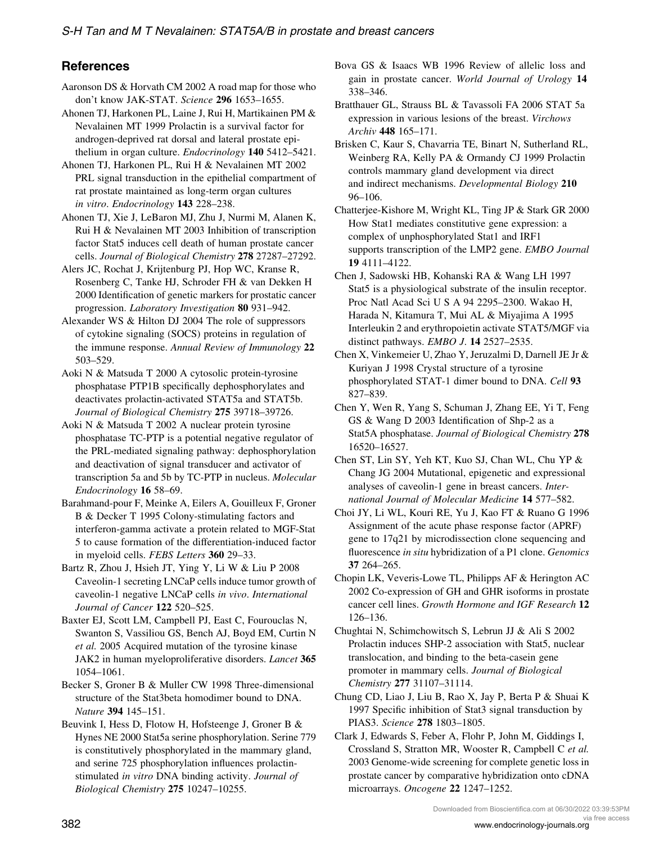## <span id="page-15-0"></span>**References**

- Aaronson DS & Horvath CM 2002 A road map for those who don't know JAK-STAT. Science 296 1653–1655.
- Ahonen TJ, Harkonen PL, Laine J, Rui H, Martikainen PM & Nevalainen MT 1999 Prolactin is a survival factor for androgen-deprived rat dorsal and lateral prostate epithelium in organ culture. *Endocrinology* **140** 5412–5421.
- Ahonen TJ, Harkonen PL, Rui H & Nevalainen MT 2002 PRL signal transduction in the epithelial compartment of rat prostate maintained as long-term organ cultures in vitro. Endocrinology 143 228–238.
- Ahonen TJ, Xie J, LeBaron MJ, Zhu J, Nurmi M, Alanen K, Rui H & Nevalainen MT 2003 Inhibition of transcription factor Stat5 induces cell death of human prostate cancer cells. Journal of Biological Chemistry 278 27287–27292.
- Alers JC, Rochat J, Krijtenburg PJ, Hop WC, Kranse R, Rosenberg C, Tanke HJ, Schroder FH & van Dekken H 2000 Identification of genetic markers for prostatic cancer progression. Laboratory Investigation 80 931–942.
- Alexander WS & Hilton DJ 2004 The role of suppressors of cytokine signaling (SOCS) proteins in regulation of the immune response. Annual Review of Immunology 22 503–529.
- Aoki N & Matsuda T 2000 A cytosolic protein-tyrosine phosphatase PTP1B specifically dephosphorylates and deactivates prolactin-activated STAT5a and STAT5b. Journal of Biological Chemistry 275 39718–39726.
- Aoki N & Matsuda T 2002 A nuclear protein tyrosine phosphatase TC-PTP is a potential negative regulator of the PRL-mediated signaling pathway: dephosphorylation and deactivation of signal transducer and activator of transcription 5a and 5b by TC-PTP in nucleus. Molecular Endocrinology 16 58–69.
- Barahmand-pour F, Meinke A, Eilers A, Gouilleux F, Groner B & Decker T 1995 Colony-stimulating factors and interferon-gamma activate a protein related to MGF-Stat 5 to cause formation of the differentiation-induced factor in myeloid cells. FEBS Letters 360 29–33.
- Bartz R, Zhou J, Hsieh JT, Ying Y, Li W & Liu P 2008 Caveolin-1 secreting LNCaP cells induce tumor growth of caveolin-1 negative LNCaP cells in vivo. International Journal of Cancer 122 520–525.
- Baxter EJ, Scott LM, Campbell PJ, East C, Fourouclas N, Swanton S, Vassiliou GS, Bench AJ, Boyd EM, Curtin N et al. 2005 Acquired mutation of the tyrosine kinase JAK2 in human myeloproliferative disorders. Lancet 365 1054–1061.
- Becker S, Groner B & Muller CW 1998 Three-dimensional structure of the Stat3beta homodimer bound to DNA. Nature 394 145–151.
- Beuvink I, Hess D, Flotow H, Hofsteenge J, Groner B & Hynes NE 2000 Stat5a serine phosphorylation. Serine 779 is constitutively phosphorylated in the mammary gland, and serine 725 phosphorylation influences prolactinstimulated in vitro DNA binding activity. Journal of Biological Chemistry 275 10247–10255.
- Bova GS & Isaacs WB 1996 Review of allelic loss and gain in prostate cancer. World Journal of Urology 14 338–346.
- Bratthauer GL, Strauss BL & Tavassoli FA 2006 STAT 5a expression in various lesions of the breast. Virchows Archiv 448 165–171.
- Brisken C, Kaur S, Chavarria TE, Binart N, Sutherland RL, Weinberg RA, Kelly PA & Ormandy CJ 1999 Prolactin controls mammary gland development via direct and indirect mechanisms. Developmental Biology 210 96–106.
- Chatterjee-Kishore M, Wright KL, Ting JP & Stark GR 2000 How Stat1 mediates constitutive gene expression: a complex of unphosphorylated Stat1 and IRF1 supports transcription of the LMP2 gene. EMBO Journal 19 4111–4122.
- Chen J, Sadowski HB, Kohanski RA & Wang LH 1997 Stat5 is a physiological substrate of the insulin receptor. Proc Natl Acad Sci U S A 94 2295–2300. Wakao H, Harada N, Kitamura T, Mui AL & Miyajima A 1995 Interleukin 2 and erythropoietin activate STAT5/MGF via distinct pathways. EMBO J. 14 2527–2535.
- Chen X, Vinkemeier U, Zhao Y, Jeruzalmi D, Darnell JE Jr & Kuriyan J 1998 Crystal structure of a tyrosine phosphorylated STAT-1 dimer bound to DNA. Cell 93 827–839.
- Chen Y, Wen R, Yang S, Schuman J, Zhang EE, Yi T, Feng GS & Wang D 2003 Identification of Shp-2 as a Stat5A phosphatase. Journal of Biological Chemistry 278 16520–16527.
- Chen ST, Lin SY, Yeh KT, Kuo SJ, Chan WL, Chu YP & Chang JG 2004 Mutational, epigenetic and expressional analyses of caveolin-1 gene in breast cancers. International Journal of Molecular Medicine 14 577–582.
- Choi JY, Li WL, Kouri RE, Yu J, Kao FT & Ruano G 1996 Assignment of the acute phase response factor (APRF) gene to 17q21 by microdissection clone sequencing and fluorescence in situ hybridization of a P1 clone. Genomics 37 264–265.
- Chopin LK, Veveris-Lowe TL, Philipps AF & Herington AC 2002 Co-expression of GH and GHR isoforms in prostate cancer cell lines. Growth Hormone and IGF Research 12 126–136.
- Chughtai N, Schimchowitsch S, Lebrun JJ & Ali S 2002 Prolactin induces SHP-2 association with Stat5, nuclear translocation, and binding to the beta-casein gene promoter in mammary cells. Journal of Biological Chemistry 277 31107–31114.
- Chung CD, Liao J, Liu B, Rao X, Jay P, Berta P & Shuai K 1997 Specific inhibition of Stat3 signal transduction by PIAS3. Science 278 1803–1805.
- Clark J, Edwards S, Feber A, Flohr P, John M, Giddings I, Crossland S, Stratton MR, Wooster R, Campbell C et al. 2003 Genome-wide screening for complete genetic loss in prostate cancer by comparative hybridization onto cDNA microarrays. Oncogene 22 1247–1252.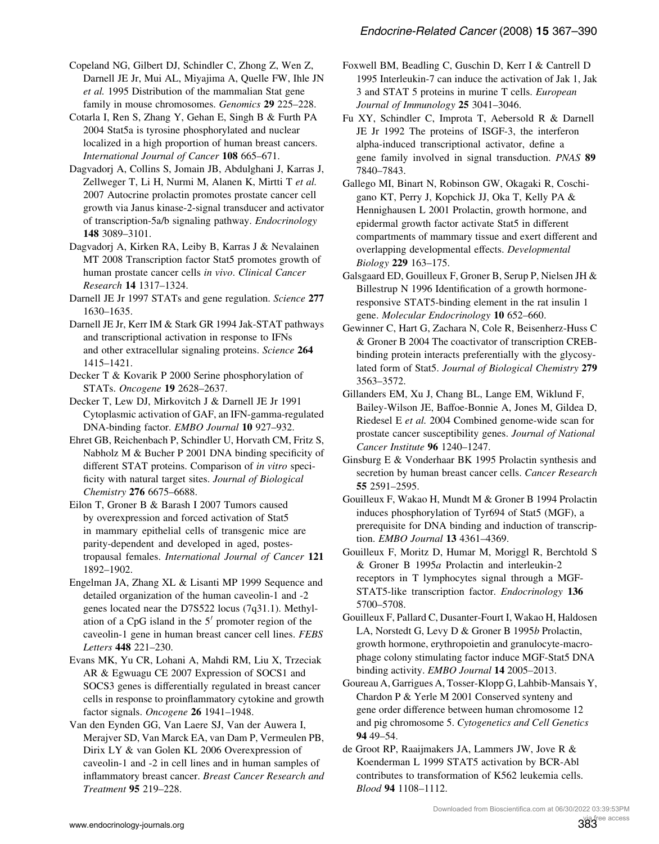<span id="page-16-0"></span>Copeland NG, Gilbert DJ, Schindler C, Zhong Z, Wen Z, Darnell JE Jr, Mui AL, Miyajima A, Quelle FW, Ihle JN et al. 1995 Distribution of the mammalian Stat gene family in mouse chromosomes. Genomics 29 225-228.

Cotarla I, Ren S, Zhang Y, Gehan E, Singh B & Furth PA 2004 Stat5a is tyrosine phosphorylated and nuclear localized in a high proportion of human breast cancers. International Journal of Cancer 108 665–671.

Dagvadorj A, Collins S, Jomain JB, Abdulghani J, Karras J, Zellweger T, Li H, Nurmi M, Alanen K, Mirtti T et al. 2007 Autocrine prolactin promotes prostate cancer cell growth via Janus kinase-2-signal transducer and activator of transcription-5a/b signaling pathway. Endocrinology 148 3089–3101.

Dagvadorj A, Kirken RA, Leiby B, Karras J & Nevalainen MT 2008 Transcription factor Stat5 promotes growth of human prostate cancer cells in vivo. Clinical Cancer Research 14 1317–1324.

Darnell JE Jr 1997 STATs and gene regulation. Science 277 1630–1635.

Darnell JE Jr, Kerr IM & Stark GR 1994 Jak-STAT pathways and transcriptional activation in response to IFNs and other extracellular signaling proteins. Science 264 1415–1421.

Decker T & Kovarik P 2000 Serine phosphorylation of STATs. Oncogene 19 2628–2637.

Decker T, Lew DJ, Mirkovitch J & Darnell JE Jr 1991 Cytoplasmic activation of GAF, an IFN-gamma-regulated DNA-binding factor. EMBO Journal 10 927-932.

Ehret GB, Reichenbach P, Schindler U, Horvath CM, Fritz S, Nabholz M & Bucher P 2001 DNA binding specificity of different STAT proteins. Comparison of in vitro specificity with natural target sites. Journal of Biological Chemistry 276 6675–6688.

Eilon T, Groner B & Barash I 2007 Tumors caused by overexpression and forced activation of Stat5 in mammary epithelial cells of transgenic mice are parity-dependent and developed in aged, postestropausal females. International Journal of Cancer 121 1892–1902.

Engelman JA, Zhang XL & Lisanti MP 1999 Sequence and detailed organization of the human caveolin-1 and -2 genes located near the D7S522 locus (7q31.1). Methylation of a CpG island in the  $5<sup>7</sup>$  promoter region of the caveolin-1 gene in human breast cancer cell lines. FEBS Letters 448 221-230.

Evans MK, Yu CR, Lohani A, Mahdi RM, Liu X, Trzeciak AR & Egwuagu CE 2007 Expression of SOCS1 and SOCS3 genes is differentially regulated in breast cancer cells in response to proinflammatory cytokine and growth factor signals. Oncogene 26 1941-1948.

Van den Eynden GG, Van Laere SJ, Van der Auwera I, Merajver SD, Van Marck EA, van Dam P, Vermeulen PB, Dirix LY & van Golen KL 2006 Overexpression of caveolin-1 and -2 in cell lines and in human samples of inflammatory breast cancer. Breast Cancer Research and Treatment 95 219–228.

Foxwell BM, Beadling C, Guschin D, Kerr I & Cantrell D 1995 Interleukin-7 can induce the activation of Jak 1, Jak 3 and STAT 5 proteins in murine T cells. European Journal of Immunology 25 3041–3046.

Fu XY, Schindler C, Improta T, Aebersold R & Darnell JE Jr 1992 The proteins of ISGF-3, the interferon alpha-induced transcriptional activator, define a gene family involved in signal transduction. PNAS 89 7840–7843.

Gallego MI, Binart N, Robinson GW, Okagaki R, Coschigano KT, Perry J, Kopchick JJ, Oka T, Kelly PA & Hennighausen L 2001 Prolactin, growth hormone, and epidermal growth factor activate Stat5 in different compartments of mammary tissue and exert different and overlapping developmental effects. Developmental Biology 229 163–175.

Galsgaard ED, Gouilleux F, Groner B, Serup P, Nielsen JH & Billestrup N 1996 Identification of a growth hormoneresponsive STAT5-binding element in the rat insulin 1 gene. Molecular Endocrinology 10 652–660.

Gewinner C, Hart G, Zachara N, Cole R, Beisenherz-Huss C & Groner B 2004 The coactivator of transcription CREBbinding protein interacts preferentially with the glycosylated form of Stat5. Journal of Biological Chemistry 279 3563–3572.

Gillanders EM, Xu J, Chang BL, Lange EM, Wiklund F, Bailey-Wilson JE, Baffoe-Bonnie A, Jones M, Gildea D, Riedesel E et al. 2004 Combined genome-wide scan for prostate cancer susceptibility genes. Journal of National Cancer Institute 96 1240–1247.

Ginsburg E & Vonderhaar BK 1995 Prolactin synthesis and secretion by human breast cancer cells. Cancer Research 55 2591–2595.

Gouilleux F, Wakao H, Mundt M & Groner B 1994 Prolactin induces phosphorylation of Tyr694 of Stat5 (MGF), a prerequisite for DNA binding and induction of transcription. EMBO Journal 13 4361–4369.

Gouilleux F, Moritz D, Humar M, Moriggl R, Berchtold S & Groner B 1995a Prolactin and interleukin-2 receptors in T lymphocytes signal through a MGF-STAT5-like transcription factor. *Endocrinology* 136 5700–5708.

Gouilleux F, Pallard C, Dusanter-Fourt I, Wakao H, Haldosen LA, Norstedt G, Levy D & Groner B 1995b Prolactin, growth hormone, erythropoietin and granulocyte-macrophage colony stimulating factor induce MGF-Stat5 DNA binding activity. EMBO Journal 14 2005-2013.

Goureau A, Garrigues A, Tosser-Klopp G, Lahbib-Mansais Y, Chardon P & Yerle M 2001 Conserved synteny and gene order difference between human chromosome 12 and pig chromosome 5. Cytogenetics and Cell Genetics 94 49–54.

de Groot RP, Raaijmakers JA, Lammers JW, Jove R & Koenderman L 1999 STAT5 activation by BCR-Abl contributes to transformation of K562 leukemia cells. Blood 94 1108–1112.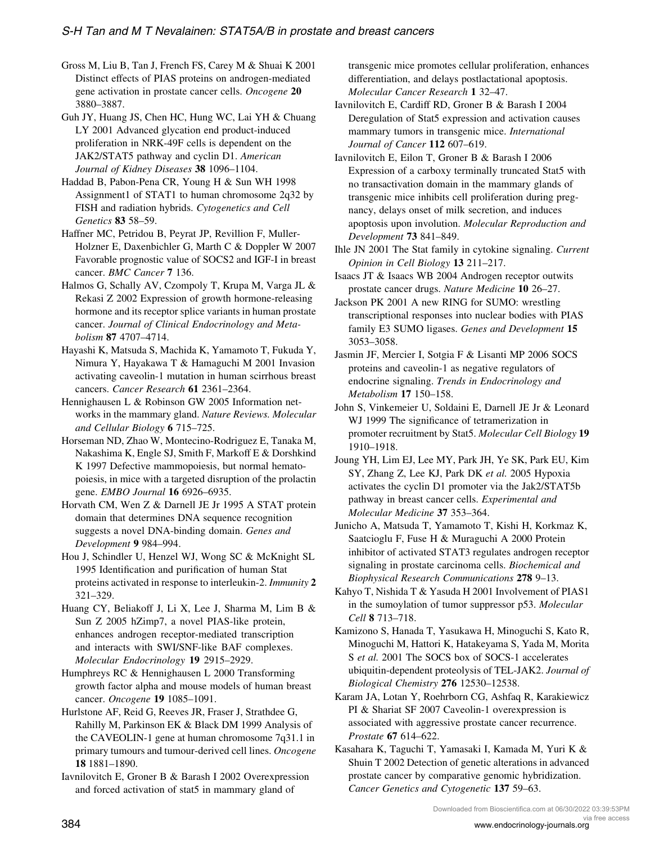<span id="page-17-0"></span>Gross M, Liu B, Tan J, French FS, Carey M & Shuai K 2001 Distinct effects of PIAS proteins on androgen-mediated gene activation in prostate cancer cells. Oncogene 20 3880–3887.

Guh JY, Huang JS, Chen HC, Hung WC, Lai YH & Chuang LY 2001 Advanced glycation end product-induced proliferation in NRK-49F cells is dependent on the JAK2/STAT5 pathway and cyclin D1. American Journal of Kidney Diseases 38 1096-1104.

Haddad B, Pabon-Pena CR, Young H & Sun WH 1998 Assignment1 of STAT1 to human chromosome 2q32 by FISH and radiation hybrids. Cytogenetics and Cell Genetics 83 58–59.

Haffner MC, Petridou B, Peyrat JP, Revillion F, Muller-Holzner E, Daxenbichler G, Marth C & Doppler W 2007 Favorable prognostic value of SOCS2 and IGF-I in breast cancer. BMC Cancer 7 136.

Halmos G, Schally AV, Czompoly T, Krupa M, Varga JL & Rekasi Z 2002 Expression of growth hormone-releasing hormone and its receptor splice variants in human prostate cancer. Journal of Clinical Endocrinology and Metabolism 87 4707–4714.

Hayashi K, Matsuda S, Machida K, Yamamoto T, Fukuda Y, Nimura Y, Hayakawa T & Hamaguchi M 2001 Invasion activating caveolin-1 mutation in human scirrhous breast cancers. Cancer Research 61 2361–2364.

Hennighausen L & Robinson GW 2005 Information networks in the mammary gland. Nature Reviews. Molecular and Cellular Biology 6 715–725.

Horseman ND, Zhao W, Montecino-Rodriguez E, Tanaka M, Nakashima K, Engle SJ, Smith F, Markoff E & Dorshkind K 1997 Defective mammopoiesis, but normal hematopoiesis, in mice with a targeted disruption of the prolactin gene. EMBO Journal 16 6926–6935.

Horvath CM, Wen Z & Darnell JE Jr 1995 A STAT protein domain that determines DNA sequence recognition suggests a novel DNA-binding domain. Genes and Development 9 984–994.

Hou J, Schindler U, Henzel WJ, Wong SC & McKnight SL 1995 Identification and purification of human Stat proteins activated in response to interleukin-2. Immunity 2 321–329.

Huang CY, Beliakoff J, Li X, Lee J, Sharma M, Lim B & Sun Z 2005 hZimp7, a novel PIAS-like protein, enhances androgen receptor-mediated transcription and interacts with SWI/SNF-like BAF complexes. Molecular Endocrinology 19 2915–2929.

Humphreys RC & Hennighausen L 2000 Transforming growth factor alpha and mouse models of human breast cancer. Oncogene 19 1085–1091.

Hurlstone AF, Reid G, Reeves JR, Fraser J, Strathdee G, Rahilly M, Parkinson EK & Black DM 1999 Analysis of the CAVEOLIN-1 gene at human chromosome 7q31.1 in primary tumours and tumour-derived cell lines. Oncogene 18 1881–1890.

Iavnilovitch E, Groner B & Barash I 2002 Overexpression and forced activation of stat5 in mammary gland of

transgenic mice promotes cellular proliferation, enhances differentiation, and delays postlactational apoptosis. Molecular Cancer Research 1 32–47.

Iavnilovitch E, Cardiff RD, Groner B & Barash I 2004 Deregulation of Stat5 expression and activation causes mammary tumors in transgenic mice. International Journal of Cancer 112 607–619.

Iavnilovitch E, Eilon T, Groner B & Barash I 2006 Expression of a carboxy terminally truncated Stat5 with no transactivation domain in the mammary glands of transgenic mice inhibits cell proliferation during pregnancy, delays onset of milk secretion, and induces apoptosis upon involution. Molecular Reproduction and Development 73 841–849.

Ihle JN 2001 The Stat family in cytokine signaling. Current Opinion in Cell Biology 13 211–217.

Isaacs JT & Isaacs WB 2004 Androgen receptor outwits prostate cancer drugs. Nature Medicine 10 26–27.

Jackson PK 2001 A new RING for SUMO: wrestling transcriptional responses into nuclear bodies with PIAS family E3 SUMO ligases. Genes and Development 15 3053–3058.

Jasmin JF, Mercier I, Sotgia F & Lisanti MP 2006 SOCS proteins and caveolin-1 as negative regulators of endocrine signaling. Trends in Endocrinology and Metabolism 17 150–158.

John S, Vinkemeier U, Soldaini E, Darnell JE Jr & Leonard WJ 1999 The significance of tetramerization in promoter recruitment by Stat5. Molecular Cell Biology 19 1910–1918.

Joung YH, Lim EJ, Lee MY, Park JH, Ye SK, Park EU, Kim SY, Zhang Z, Lee KJ, Park DK et al. 2005 Hypoxia activates the cyclin D1 promoter via the Jak2/STAT5b pathway in breast cancer cells. Experimental and Molecular Medicine 37 353–364.

Junicho A, Matsuda T, Yamamoto T, Kishi H, Korkmaz K, Saatcioglu F, Fuse H & Muraguchi A 2000 Protein inhibitor of activated STAT3 regulates androgen receptor signaling in prostate carcinoma cells. Biochemical and Biophysical Research Communications 278 9–13.

Kahyo T, Nishida T & Yasuda H 2001 Involvement of PIAS1 in the sumoylation of tumor suppressor p53. Molecular Cell 8 713–718.

Kamizono S, Hanada T, Yasukawa H, Minoguchi S, Kato R, Minoguchi M, Hattori K, Hatakeyama S, Yada M, Morita S et al. 2001 The SOCS box of SOCS-1 accelerates ubiquitin-dependent proteolysis of TEL-JAK2. Journal of Biological Chemistry 276 12530–12538.

Karam JA, Lotan Y, Roehrborn CG, Ashfaq R, Karakiewicz PI & Shariat SF 2007 Caveolin-1 overexpression is associated with aggressive prostate cancer recurrence. Prostate 67 614–622.

Kasahara K, Taguchi T, Yamasaki I, Kamada M, Yuri K & Shuin T 2002 Detection of genetic alterations in advanced prostate cancer by comparative genomic hybridization. Cancer Genetics and Cytogenetic 137 59–63.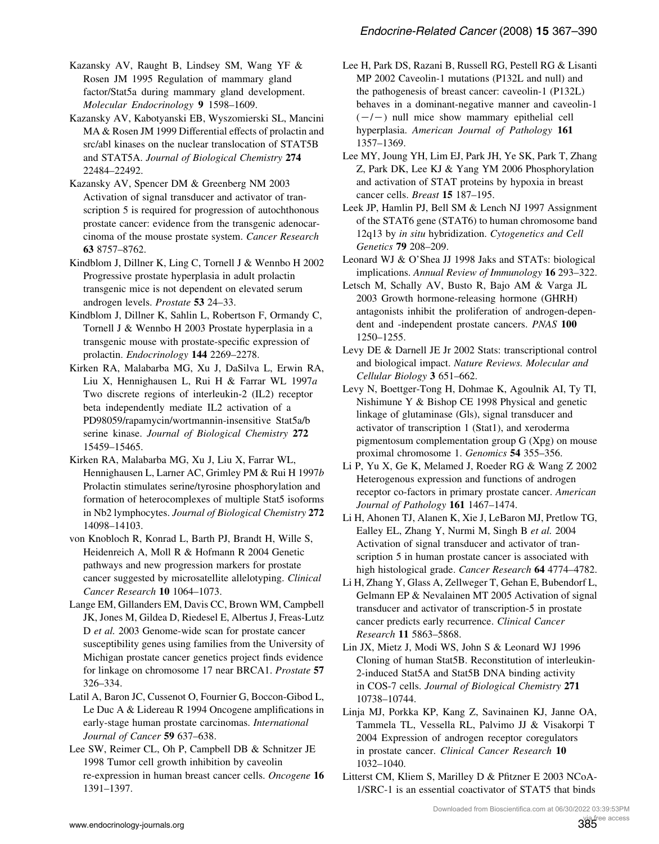<span id="page-18-0"></span>Kazansky AV, Raught B, Lindsey SM, Wang YF & Rosen JM 1995 Regulation of mammary gland factor/Stat5a during mammary gland development. Molecular Endocrinology 9 1598–1609.

Kazansky AV, Kabotyanski EB, Wyszomierski SL, Mancini MA & Rosen JM 1999 Differential effects of prolactin and src/abl kinases on the nuclear translocation of STAT5B and STAT5A. Journal of Biological Chemistry 274 22484–22492.

Kazansky AV, Spencer DM & Greenberg NM 2003 Activation of signal transducer and activator of transcription 5 is required for progression of autochthonous prostate cancer: evidence from the transgenic adenocarcinoma of the mouse prostate system. Cancer Research 63 8757–8762.

Kindblom J, Dillner K, Ling C, Tornell J & Wennbo H 2002 Progressive prostate hyperplasia in adult prolactin transgenic mice is not dependent on elevated serum androgen levels. Prostate 53 24–33.

Kindblom J, Dillner K, Sahlin L, Robertson F, Ormandy C, Tornell J & Wennbo H 2003 Prostate hyperplasia in a transgenic mouse with prostate-specific expression of prolactin. Endocrinology 144 2269-2278.

Kirken RA, Malabarba MG, Xu J, DaSilva L, Erwin RA, Liu X, Hennighausen L, Rui H & Farrar WL 1997a Two discrete regions of interleukin-2 (IL2) receptor beta independently mediate IL2 activation of a PD98059/rapamycin/wortmannin-insensitive Stat5a/b serine kinase. Journal of Biological Chemistry 272 15459–15465.

Kirken RA, Malabarba MG, Xu J, Liu X, Farrar WL, Hennighausen L, Larner AC, Grimley PM & Rui H 1997b Prolactin stimulates serine/tyrosine phosphorylation and formation of heterocomplexes of multiple Stat5 isoforms in Nb2 lymphocytes. Journal of Biological Chemistry 272 14098–14103.

von Knobloch R, Konrad L, Barth PJ, Brandt H, Wille S, Heidenreich A, Moll R & Hofmann R 2004 Genetic pathways and new progression markers for prostate cancer suggested by microsatellite allelotyping. Clinical Cancer Research 10 1064–1073.

Lange EM, Gillanders EM, Davis CC, Brown WM, Campbell JK, Jones M, Gildea D, Riedesel E, Albertus J, Freas-Lutz D et al. 2003 Genome-wide scan for prostate cancer susceptibility genes using families from the University of Michigan prostate cancer genetics project finds evidence for linkage on chromosome 17 near BRCA1. Prostate 57 326–334.

Latil A, Baron JC, Cussenot O, Fournier G, Boccon-Gibod L, Le Duc A & Lidereau R 1994 Oncogene amplifications in early-stage human prostate carcinomas. International Journal of Cancer 59 637–638.

Lee SW, Reimer CL, Oh P, Campbell DB & Schnitzer JE 1998 Tumor cell growth inhibition by caveolin re-expression in human breast cancer cells. Oncogene 16 1391–1397.

Lee H, Park DS, Razani B, Russell RG, Pestell RG & Lisanti MP 2002 Caveolin-1 mutations (P132L and null) and the pathogenesis of breast cancer: caveolin-1 (P132L) behaves in a dominant-negative manner and caveolin-1  $(-/-)$  null mice show mammary epithelial cell hyperplasia. American Journal of Pathology 161 1357–1369.

Lee MY, Joung YH, Lim EJ, Park JH, Ye SK, Park T, Zhang Z, Park DK, Lee KJ & Yang YM 2006 Phosphorylation and activation of STAT proteins by hypoxia in breast cancer cells. Breast 15 187–195.

Leek JP, Hamlin PJ, Bell SM & Lench NJ 1997 Assignment of the STAT6 gene (STAT6) to human chromosome band 12q13 by in situ hybridization. Cytogenetics and Cell Genetics 79 208–209.

Leonard WJ & O'Shea JJ 1998 Jaks and STATs: biological implications. Annual Review of Immunology 16 293–322.

Letsch M, Schally AV, Busto R, Bajo AM & Varga JL 2003 Growth hormone-releasing hormone (GHRH) antagonists inhibit the proliferation of androgen-dependent and -independent prostate cancers. PNAS 100 1250–1255.

Levy DE & Darnell JE Jr 2002 Stats: transcriptional control and biological impact. Nature Reviews. Molecular and Cellular Biology 3 651–662.

Levy N, Boettger-Tong H, Dohmae K, Agoulnik AI, Ty TI, Nishimune Y & Bishop CE 1998 Physical and genetic linkage of glutaminase (Gls), signal transducer and activator of transcription 1 (Stat1), and xeroderma pigmentosum complementation group G (Xpg) on mouse proximal chromosome 1. Genomics 54 355–356.

Li P, Yu X, Ge K, Melamed J, Roeder RG & Wang Z 2002 Heterogenous expression and functions of androgen receptor co-factors in primary prostate cancer. American Journal of Pathology 161 1467–1474.

Li H, Ahonen TJ, Alanen K, Xie J, LeBaron MJ, Pretlow TG, Ealley EL, Zhang Y, Nurmi M, Singh B et al. 2004 Activation of signal transducer and activator of transcription 5 in human prostate cancer is associated with high histological grade. Cancer Research 64 4774–4782.

Li H, Zhang Y, Glass A, Zellweger T, Gehan E, Bubendorf L, Gelmann EP & Nevalainen MT 2005 Activation of signal transducer and activator of transcription-5 in prostate cancer predicts early recurrence. Clinical Cancer Research 11 5863–5868.

Lin JX, Mietz J, Modi WS, John S & Leonard WJ 1996 Cloning of human Stat5B. Reconstitution of interleukin-2-induced Stat5A and Stat5B DNA binding activity in COS-7 cells. Journal of Biological Chemistry 271 10738–10744.

Linja MJ, Porkka KP, Kang Z, Savinainen KJ, Janne OA, Tammela TL, Vessella RL, Palvimo JJ & Visakorpi T 2004 Expression of androgen receptor coregulators in prostate cancer. Clinical Cancer Research 10 1032–1040.

Litterst CM, Kliem S, Marilley D & Pfitzner E 2003 NCoA-1/SRC-1 is an essential coactivator of STAT5 that binds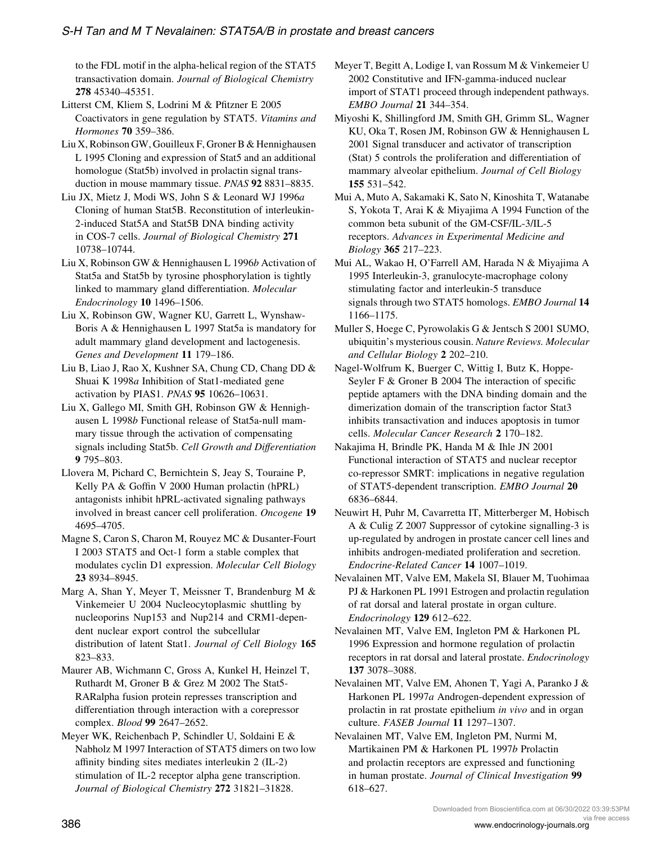<span id="page-19-0"></span>to the FDL motif in the alpha-helical region of the STAT5 transactivation domain. Journal of Biological Chemistry 278 45340–45351.

Litterst CM, Kliem S, Lodrini M & Pfitzner E 2005 Coactivators in gene regulation by STAT5. Vitamins and Hormones 70 359–386.

Liu X, Robinson GW, Gouilleux F, Groner B & Hennighausen L 1995 Cloning and expression of Stat5 and an additional homologue (Stat5b) involved in prolactin signal transduction in mouse mammary tissue. PNAS 92 8831–8835.

Liu JX, Mietz J, Modi WS, John S & Leonard WJ 1996a Cloning of human Stat5B. Reconstitution of interleukin-2-induced Stat5A and Stat5B DNA binding activity in COS-7 cells. Journal of Biological Chemistry 271 10738–10744.

Liu X, Robinson GW & Hennighausen L 1996b Activation of Stat5a and Stat5b by tyrosine phosphorylation is tightly linked to mammary gland differentiation. Molecular Endocrinology 10 1496–1506.

Liu X, Robinson GW, Wagner KU, Garrett L, Wynshaw-Boris A & Hennighausen L 1997 Stat5a is mandatory for adult mammary gland development and lactogenesis. Genes and Development 11 179–186.

Liu B, Liao J, Rao X, Kushner SA, Chung CD, Chang DD & Shuai K 1998a Inhibition of Stat1-mediated gene activation by PIAS1. PNAS 95 10626–10631.

Liu X, Gallego MI, Smith GH, Robinson GW & Hennighausen L 1998b Functional release of Stat5a-null mammary tissue through the activation of compensating signals including Stat5b. Cell Growth and Differentiation 9 795–803.

Llovera M, Pichard C, Bernichtein S, Jeay S, Touraine P, Kelly PA & Goffin V 2000 Human prolactin (hPRL) antagonists inhibit hPRL-activated signaling pathways involved in breast cancer cell proliferation. Oncogene 19 4695–4705.

Magne S, Caron S, Charon M, Rouyez MC & Dusanter-Fourt I 2003 STAT5 and Oct-1 form a stable complex that modulates cyclin D1 expression. Molecular Cell Biology 23 8934–8945.

Marg A, Shan Y, Meyer T, Meissner T, Brandenburg M & Vinkemeier U 2004 Nucleocytoplasmic shuttling by nucleoporins Nup153 and Nup214 and CRM1-dependent nuclear export control the subcellular distribution of latent Stat1. Journal of Cell Biology 165 823–833.

Maurer AB, Wichmann C, Gross A, Kunkel H, Heinzel T, Ruthardt M, Groner B & Grez M 2002 The Stat5- RARalpha fusion protein represses transcription and differentiation through interaction with a corepressor complex. Blood 99 2647–2652.

Meyer WK, Reichenbach P, Schindler U, Soldaini E & Nabholz M 1997 Interaction of STAT5 dimers on two low affinity binding sites mediates interleukin 2 (IL-2) stimulation of IL-2 receptor alpha gene transcription. Journal of Biological Chemistry 272 31821–31828.

Meyer T, Begitt A, Lodige I, van Rossum M & Vinkemeier U 2002 Constitutive and IFN-gamma-induced nuclear import of STAT1 proceed through independent pathways. EMBO Journal 21 344–354.

Miyoshi K, Shillingford JM, Smith GH, Grimm SL, Wagner KU, Oka T, Rosen JM, Robinson GW & Hennighausen L 2001 Signal transducer and activator of transcription (Stat) 5 controls the proliferation and differentiation of mammary alveolar epithelium. Journal of Cell Biology 155 531–542.

Mui A, Muto A, Sakamaki K, Sato N, Kinoshita T, Watanabe S, Yokota T, Arai K & Miyajima A 1994 Function of the common beta subunit of the GM-CSF/IL-3/IL-5 receptors. Advances in Experimental Medicine and Biology 365 217–223.

Mui AL, Wakao H, O'Farrell AM, Harada N & Miyajima A 1995 Interleukin-3, granulocyte-macrophage colony stimulating factor and interleukin-5 transduce signals through two STAT5 homologs. EMBO Journal 14 1166–1175.

Muller S, Hoege C, Pyrowolakis G & Jentsch S 2001 SUMO, ubiquitin's mysterious cousin. Nature Reviews. Molecular and Cellular Biology 2 202–210.

Nagel-Wolfrum K, Buerger C, Wittig I, Butz K, Hoppe-Seyler F & Groner B 2004 The interaction of specific peptide aptamers with the DNA binding domain and the dimerization domain of the transcription factor Stat3 inhibits transactivation and induces apoptosis in tumor cells. Molecular Cancer Research 2 170-182.

Nakajima H, Brindle PK, Handa M & Ihle JN 2001 Functional interaction of STAT5 and nuclear receptor co-repressor SMRT: implications in negative regulation of STAT5-dependent transcription. EMBO Journal 20 6836–6844.

Neuwirt H, Puhr M, Cavarretta IT, Mitterberger M, Hobisch A & Culig Z 2007 Suppressor of cytokine signalling-3 is up-regulated by androgen in prostate cancer cell lines and inhibits androgen-mediated proliferation and secretion. Endocrine-Related Cancer 14 1007–1019.

Nevalainen MT, Valve EM, Makela SI, Blauer M, Tuohimaa PJ & Harkonen PL 1991 Estrogen and prolactin regulation of rat dorsal and lateral prostate in organ culture. Endocrinology 129 612–622.

Nevalainen MT, Valve EM, Ingleton PM & Harkonen PL 1996 Expression and hormone regulation of prolactin receptors in rat dorsal and lateral prostate. Endocrinology 137 3078–3088.

Nevalainen MT, Valve EM, Ahonen T, Yagi A, Paranko J & Harkonen PL 1997a Androgen-dependent expression of prolactin in rat prostate epithelium in vivo and in organ culture. FASEB Journal 11 1297–1307.

Nevalainen MT, Valve EM, Ingleton PM, Nurmi M, Martikainen PM & Harkonen PL 1997b Prolactin and prolactin receptors are expressed and functioning in human prostate. Journal of Clinical Investigation 99 618–627.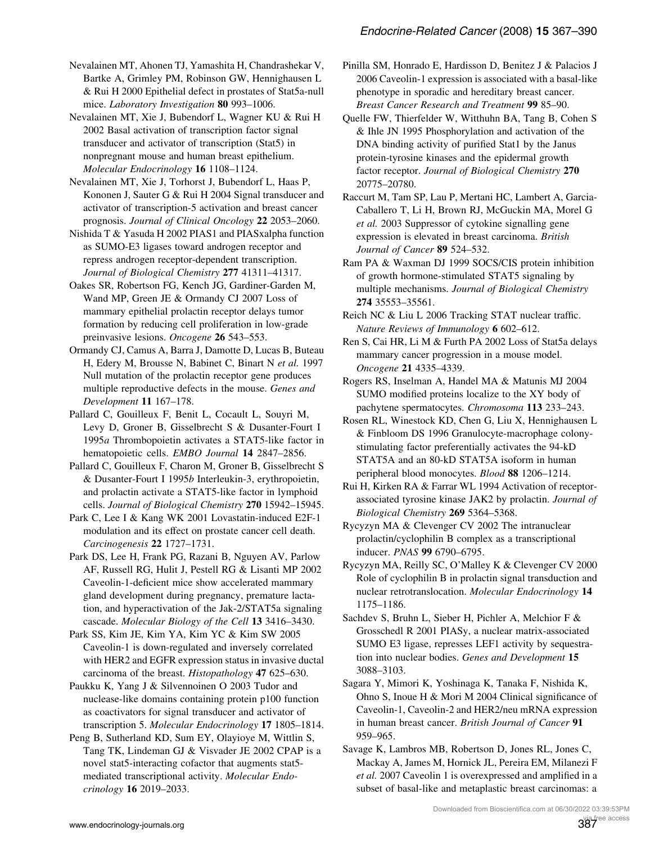<span id="page-20-0"></span>Nevalainen MT, Ahonen TJ, Yamashita H, Chandrashekar V, Bartke A, Grimley PM, Robinson GW, Hennighausen L & Rui H 2000 Epithelial defect in prostates of Stat5a-null mice. Laboratory Investigation 80 993-1006.

Nevalainen MT, Xie J, Bubendorf L, Wagner KU & Rui H 2002 Basal activation of transcription factor signal transducer and activator of transcription (Stat5) in nonpregnant mouse and human breast epithelium. Molecular Endocrinology 16 1108–1124.

Nevalainen MT, Xie J, Torhorst J, Bubendorf L, Haas P, Kononen J, Sauter G & Rui H 2004 Signal transducer and activator of transcription-5 activation and breast cancer prognosis. Journal of Clinical Oncology 22 2053–2060.

Nishida T & Yasuda H 2002 PIAS1 and PIASxalpha function as SUMO-E3 ligases toward androgen receptor and repress androgen receptor-dependent transcription. Journal of Biological Chemistry 277 41311–41317.

Oakes SR, Robertson FG, Kench JG, Gardiner-Garden M, Wand MP, Green JE & Ormandy CJ 2007 Loss of mammary epithelial prolactin receptor delays tumor formation by reducing cell proliferation in low-grade preinvasive lesions. Oncogene 26 543–553.

Ormandy CJ, Camus A, Barra J, Damotte D, Lucas B, Buteau H, Edery M, Brousse N, Babinet C, Binart N et al. 1997 Null mutation of the prolactin receptor gene produces multiple reproductive defects in the mouse. Genes and Development 11 167–178.

Pallard C, Gouilleux F, Benit L, Cocault L, Souyri M, Levy D, Groner B, Gisselbrecht S & Dusanter-Fourt I 1995a Thrombopoietin activates a STAT5-like factor in hematopoietic cells. EMBO Journal 14 2847-2856.

Pallard C, Gouilleux F, Charon M, Groner B, Gisselbrecht S & Dusanter-Fourt I 1995b Interleukin-3, erythropoietin, and prolactin activate a STAT5-like factor in lymphoid cells. Journal of Biological Chemistry 270 15942–15945.

Park C, Lee I & Kang WK 2001 Lovastatin-induced E2F-1 modulation and its effect on prostate cancer cell death. Carcinogenesis 22 1727–1731.

Park DS, Lee H, Frank PG, Razani B, Nguyen AV, Parlow AF, Russell RG, Hulit J, Pestell RG & Lisanti MP 2002 Caveolin-1-deficient mice show accelerated mammary gland development during pregnancy, premature lactation, and hyperactivation of the Jak-2/STAT5a signaling cascade. Molecular Biology of the Cell 13 3416–3430.

Park SS, Kim JE, Kim YA, Kim YC & Kim SW 2005 Caveolin-1 is down-regulated and inversely correlated with HER2 and EGFR expression status in invasive ductal carcinoma of the breast. Histopathology 47 625–630.

Paukku K, Yang J & Silvennoinen O 2003 Tudor and nuclease-like domains containing protein p100 function as coactivators for signal transducer and activator of transcription 5. Molecular Endocrinology 17 1805-1814.

Peng B, Sutherland KD, Sum EY, Olayioye M, Wittlin S, Tang TK, Lindeman GJ & Visvader JE 2002 CPAP is a novel stat5-interacting cofactor that augments stat5 mediated transcriptional activity. Molecular Endocrinology 16 2019–2033.

Pinilla SM, Honrado E, Hardisson D, Benitez J & Palacios J 2006 Caveolin-1 expression is associated with a basal-like phenotype in sporadic and hereditary breast cancer. Breast Cancer Research and Treatment 99 85–90.

Quelle FW, Thierfelder W, Witthuhn BA, Tang B, Cohen S & Ihle JN 1995 Phosphorylation and activation of the DNA binding activity of purified Stat1 by the Janus protein-tyrosine kinases and the epidermal growth factor receptor. Journal of Biological Chemistry 270 20775–20780.

Raccurt M, Tam SP, Lau P, Mertani HC, Lambert A, Garcia-Caballero T, Li H, Brown RJ, McGuckin MA, Morel G et al. 2003 Suppressor of cytokine signalling gene expression is elevated in breast carcinoma. British Journal of Cancer 89 524-532.

Ram PA & Waxman DJ 1999 SOCS/CIS protein inhibition of growth hormone-stimulated STAT5 signaling by multiple mechanisms. Journal of Biological Chemistry 274 35553–35561.

Reich NC & Liu L 2006 Tracking STAT nuclear traffic. Nature Reviews of Immunology 6 602–612.

Ren S, Cai HR, Li M & Furth PA 2002 Loss of Stat5a delays mammary cancer progression in a mouse model. Oncogene 21 4335–4339.

Rogers RS, Inselman A, Handel MA & Matunis MJ 2004 SUMO modified proteins localize to the XY body of pachytene spermatocytes. Chromosoma 113 233–243.

Rosen RL, Winestock KD, Chen G, Liu X, Hennighausen L & Finbloom DS 1996 Granulocyte-macrophage colonystimulating factor preferentially activates the 94-kD STAT5A and an 80-kD STAT5A isoform in human peripheral blood monocytes. Blood 88 1206–1214.

Rui H, Kirken RA & Farrar WL 1994 Activation of receptorassociated tyrosine kinase JAK2 by prolactin. Journal of Biological Chemistry 269 5364–5368.

Rycyzyn MA & Clevenger CV 2002 The intranuclear prolactin/cyclophilin B complex as a transcriptional inducer. PNAS 99 6790–6795.

Rycyzyn MA, Reilly SC, O'Malley K & Clevenger CV 2000 Role of cyclophilin B in prolactin signal transduction and nuclear retrotranslocation. Molecular Endocrinology 14 1175–1186.

Sachdev S, Bruhn L, Sieber H, Pichler A, Melchior F & Grosschedl R 2001 PIASy, a nuclear matrix-associated SUMO E3 ligase, represses LEF1 activity by sequestration into nuclear bodies. Genes and Development 15 3088–3103.

Sagara Y, Mimori K, Yoshinaga K, Tanaka F, Nishida K, Ohno S, Inoue H & Mori M 2004 Clinical significance of Caveolin-1, Caveolin-2 and HER2/neu mRNA expression in human breast cancer. British Journal of Cancer 91 959–965.

Savage K, Lambros MB, Robertson D, Jones RL, Jones C, Mackay A, James M, Hornick JL, Pereira EM, Milanezi F et al. 2007 Caveolin 1 is overexpressed and amplified in a subset of basal-like and metaplastic breast carcinomas: a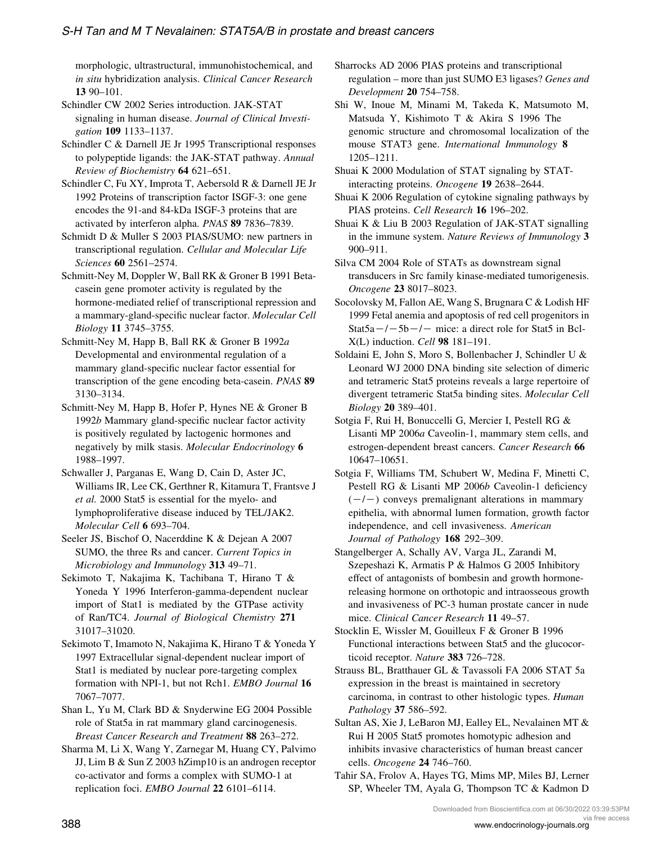<span id="page-21-0"></span>morphologic, ultrastructural, immunohistochemical, and in situ hybridization analysis. Clinical Cancer Research 13 90–101.

Schindler CW 2002 Series introduction. JAK-STAT signaling in human disease. Journal of Clinical Investigation 109 1133–1137.

Schindler C & Darnell JE Jr 1995 Transcriptional responses to polypeptide ligands: the JAK-STAT pathway. Annual Review of Biochemistry 64 621–651.

Schindler C, Fu XY, Improta T, Aebersold R & Darnell JE Jr 1992 Proteins of transcription factor ISGF-3: one gene encodes the 91-and 84-kDa ISGF-3 proteins that are activated by interferon alpha. PNAS 89 7836–7839.

Schmidt D & Muller S 2003 PIAS/SUMO: new partners in transcriptional regulation. Cellular and Molecular Life Sciences 60 2561–2574.

Schmitt-Ney M, Doppler W, Ball RK & Groner B 1991 Betacasein gene promoter activity is regulated by the hormone-mediated relief of transcriptional repression and a mammary-gland-specific nuclear factor. Molecular Cell Biology 11 3745–3755.

Schmitt-Ney M, Happ B, Ball RK & Groner B 1992a Developmental and environmental regulation of a mammary gland-specific nuclear factor essential for transcription of the gene encoding beta-casein. PNAS 89 3130–3134.

Schmitt-Ney M, Happ B, Hofer P, Hynes NE & Groner B 1992b Mammary gland-specific nuclear factor activity is positively regulated by lactogenic hormones and negatively by milk stasis. Molecular Endocrinology 6 1988–1997.

Schwaller J, Parganas E, Wang D, Cain D, Aster JC, Williams IR, Lee CK, Gerthner R, Kitamura T, Frantsve J et al. 2000 Stat5 is essential for the myelo- and lymphoproliferative disease induced by TEL/JAK2. Molecular Cell 6 693–704.

Seeler JS, Bischof O, Nacerddine K & Dejean A 2007 SUMO, the three Rs and cancer. Current Topics in Microbiology and Immunology 313 49–71.

Sekimoto T, Nakajima K, Tachibana T, Hirano T & Yoneda Y 1996 Interferon-gamma-dependent nuclear import of Stat1 is mediated by the GTPase activity of Ran/TC4. Journal of Biological Chemistry 271 31017–31020.

Sekimoto T, Imamoto N, Nakajima K, Hirano T & Yoneda Y 1997 Extracellular signal-dependent nuclear import of Stat1 is mediated by nuclear pore-targeting complex formation with NPI-1, but not Rch1. EMBO Journal 16 7067–7077.

Shan L, Yu M, Clark BD & Snyderwine EG 2004 Possible role of Stat5a in rat mammary gland carcinogenesis. Breast Cancer Research and Treatment 88 263–272.

Sharma M, Li X, Wang Y, Zarnegar M, Huang CY, Palvimo JJ, Lim B & Sun Z 2003 hZimp10 is an androgen receptor co-activator and forms a complex with SUMO-1 at replication foci. EMBO Journal 22 6101–6114.

Sharrocks AD 2006 PIAS proteins and transcriptional regulation – more than just SUMO E3 ligases? Genes and Development 20 754–758.

Shi W, Inoue M, Minami M, Takeda K, Matsumoto M, Matsuda Y, Kishimoto T & Akira S 1996 The genomic structure and chromosomal localization of the mouse STAT3 gene. International Immunology 8 1205–1211.

Shuai K 2000 Modulation of STAT signaling by STATinteracting proteins. Oncogene 19 2638–2644.

Shuai K 2006 Regulation of cytokine signaling pathways by PIAS proteins. Cell Research 16 196–202.

Shuai K & Liu B 2003 Regulation of JAK-STAT signalling in the immune system. Nature Reviews of Immunology 3 900–911.

Silva CM 2004 Role of STATs as downstream signal transducers in Src family kinase-mediated tumorigenesis. Oncogene 23 8017–8023.

Socolovsky M, Fallon AE, Wang S, Brugnara C & Lodish HF 1999 Fetal anemia and apoptosis of red cell progenitors in Stat $5a-/-5b-/-$  mice: a direct role for Stat5 in Bcl-X(L) induction. Cell 98 181–191.

Soldaini E, John S, Moro S, Bollenbacher J, Schindler U & Leonard WJ 2000 DNA binding site selection of dimeric and tetrameric Stat5 proteins reveals a large repertoire of divergent tetrameric Stat5a binding sites. Molecular Cell Biology 20 389–401.

Sotgia F, Rui H, Bonuccelli G, Mercier I, Pestell RG & Lisanti MP 2006a Caveolin-1, mammary stem cells, and estrogen-dependent breast cancers. Cancer Research 66 10647–10651.

Sotgia F, Williams TM, Schubert W, Medina F, Minetti C, Pestell RG & Lisanti MP 2006b Caveolin-1 deficiency  $(-/-)$  conveys premalignant alterations in mammary epithelia, with abnormal lumen formation, growth factor independence, and cell invasiveness. American Journal of Pathology 168 292–309.

Stangelberger A, Schally AV, Varga JL, Zarandi M, Szepeshazi K, Armatis P & Halmos G 2005 Inhibitory effect of antagonists of bombesin and growth hormonereleasing hormone on orthotopic and intraosseous growth and invasiveness of PC-3 human prostate cancer in nude mice. Clinical Cancer Research 11 49–57.

Stocklin E, Wissler M, Gouilleux F & Groner B 1996 Functional interactions between Stat5 and the glucocorticoid receptor. Nature 383 726–728.

Strauss BL, Bratthauer GL & Tavassoli FA 2006 STAT 5a expression in the breast is maintained in secretory carcinoma, in contrast to other histologic types. Human Pathology 37 586–592.

Sultan AS, Xie J, LeBaron MJ, Ealley EL, Nevalainen MT & Rui H 2005 Stat5 promotes homotypic adhesion and inhibits invasive characteristics of human breast cancer cells. Oncogene 24 746–760.

Tahir SA, Frolov A, Hayes TG, Mims MP, Miles BJ, Lerner SP, Wheeler TM, Ayala G, Thompson TC & Kadmon D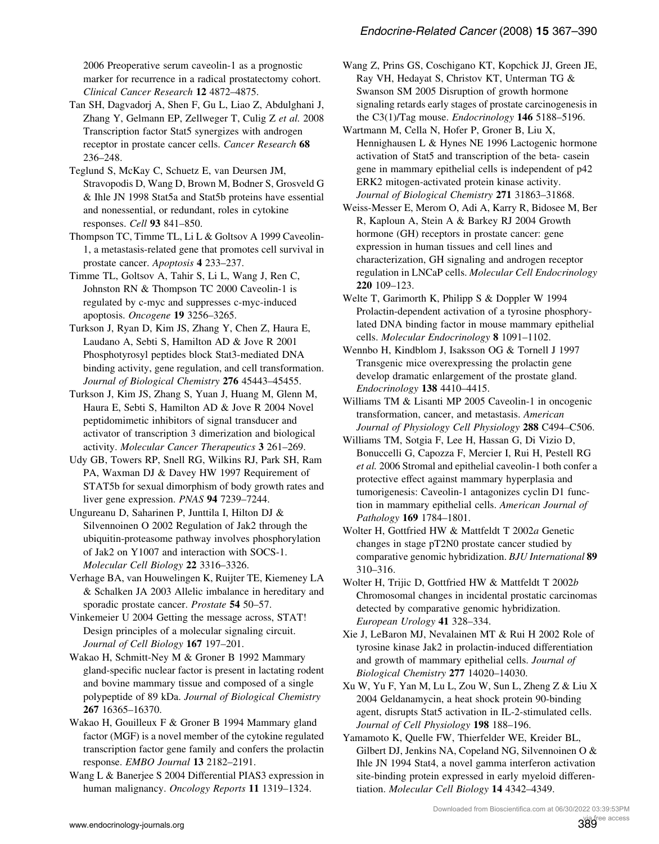<span id="page-22-0"></span>2006 Preoperative serum caveolin-1 as a prognostic marker for recurrence in a radical prostatectomy cohort. Clinical Cancer Research 12 4872–4875.

Tan SH, Dagvadorj A, Shen F, Gu L, Liao Z, Abdulghani J, Zhang Y, Gelmann EP, Zellweger T, Culig Z et al. 2008 Transcription factor Stat5 synergizes with androgen receptor in prostate cancer cells. Cancer Research 68 236–248.

Teglund S, McKay C, Schuetz E, van Deursen JM, Stravopodis D, Wang D, Brown M, Bodner S, Grosveld G & Ihle JN 1998 Stat5a and Stat5b proteins have essential and nonessential, or redundant, roles in cytokine responses. Cell 93 841–850.

Thompson TC, Timme TL, Li L & Goltsov A 1999 Caveolin-1, a metastasis-related gene that promotes cell survival in prostate cancer. Apoptosis 4 233-237.

Timme TL, Goltsov A, Tahir S, Li L, Wang J, Ren C, Johnston RN & Thompson TC 2000 Caveolin-1 is regulated by c-myc and suppresses c-myc-induced apoptosis. Oncogene 19 3256–3265.

Turkson J, Ryan D, Kim JS, Zhang Y, Chen Z, Haura E, Laudano A, Sebti S, Hamilton AD & Jove R 2001 Phosphotyrosyl peptides block Stat3-mediated DNA binding activity, gene regulation, and cell transformation. Journal of Biological Chemistry 276 45443–45455.

Turkson J, Kim JS, Zhang S, Yuan J, Huang M, Glenn M, Haura E, Sebti S, Hamilton AD & Jove R 2004 Novel peptidomimetic inhibitors of signal transducer and activator of transcription 3 dimerization and biological activity. Molecular Cancer Therapeutics 3 261–269.

Udy GB, Towers RP, Snell RG, Wilkins RJ, Park SH, Ram PA, Waxman DJ & Davey HW 1997 Requirement of STAT5b for sexual dimorphism of body growth rates and liver gene expression. PNAS 94 7239-7244.

Ungureanu D, Saharinen P, Junttila I, Hilton DJ & Silvennoinen O 2002 Regulation of Jak2 through the ubiquitin-proteasome pathway involves phosphorylation of Jak2 on Y1007 and interaction with SOCS-1. Molecular Cell Biology 22 3316–3326.

Verhage BA, van Houwelingen K, Ruijter TE, Kiemeney LA & Schalken JA 2003 Allelic imbalance in hereditary and sporadic prostate cancer. Prostate 54 50–57.

Vinkemeier U 2004 Getting the message across, STAT! Design principles of a molecular signaling circuit. Journal of Cell Biology 167 197–201.

Wakao H, Schmitt-Ney M & Groner B 1992 Mammary gland-specific nuclear factor is present in lactating rodent and bovine mammary tissue and composed of a single polypeptide of 89 kDa. Journal of Biological Chemistry 267 16365–16370.

Wakao H, Gouilleux F & Groner B 1994 Mammary gland factor (MGF) is a novel member of the cytokine regulated transcription factor gene family and confers the prolactin response. EMBO Journal 13 2182–2191.

Wang L & Banerjee S 2004 Differential PIAS3 expression in human malignancy. Oncology Reports 11 1319-1324.

Wang Z, Prins GS, Coschigano KT, Kopchick JJ, Green JE, Ray VH, Hedayat S, Christov KT, Unterman TG & Swanson SM 2005 Disruption of growth hormone signaling retards early stages of prostate carcinogenesis in the C3(1)/Tag mouse. Endocrinology 146 5188-5196.

Wartmann M, Cella N, Hofer P, Groner B, Liu X, Hennighausen L & Hynes NE 1996 Lactogenic hormone activation of Stat5 and transcription of the beta- casein gene in mammary epithelial cells is independent of p42 ERK2 mitogen-activated protein kinase activity. Journal of Biological Chemistry 271 31863–31868.

Weiss-Messer E, Merom O, Adi A, Karry R, Bidosee M, Ber R, Kaploun A, Stein A & Barkey RJ 2004 Growth hormone (GH) receptors in prostate cancer: gene expression in human tissues and cell lines and characterization, GH signaling and androgen receptor regulation in LNCaP cells. Molecular Cell Endocrinology 220 109–123.

Welte T, Garimorth K, Philipp S & Doppler W 1994 Prolactin-dependent activation of a tyrosine phosphorylated DNA binding factor in mouse mammary epithelial cells. Molecular Endocrinology 8 1091–1102.

Wennbo H, Kindblom J, Isaksson OG & Tornell J 1997 Transgenic mice overexpressing the prolactin gene develop dramatic enlargement of the prostate gland. Endocrinology 138 4410–4415.

Williams TM & Lisanti MP 2005 Caveolin-1 in oncogenic transformation, cancer, and metastasis. American Journal of Physiology Cell Physiology 288 C494–C506.

Williams TM, Sotgia F, Lee H, Hassan G, Di Vizio D, Bonuccelli G, Capozza F, Mercier I, Rui H, Pestell RG et al. 2006 Stromal and epithelial caveolin-1 both confer a protective effect against mammary hyperplasia and tumorigenesis: Caveolin-1 antagonizes cyclin D1 function in mammary epithelial cells. American Journal of Pathology 169 1784–1801.

Wolter H, Gottfried HW & Mattfeldt T 2002a Genetic changes in stage pT2N0 prostate cancer studied by comparative genomic hybridization. BJU International 89 310–316.

Wolter H, Trijic D, Gottfried HW & Mattfeldt T 2002b Chromosomal changes in incidental prostatic carcinomas detected by comparative genomic hybridization. European Urology 41 328–334.

Xie J, LeBaron MJ, Nevalainen MT & Rui H 2002 Role of tyrosine kinase Jak2 in prolactin-induced differentiation and growth of mammary epithelial cells. Journal of Biological Chemistry 277 14020–14030.

Xu W, Yu F, Yan M, Lu L, Zou W, Sun L, Zheng Z & Liu X 2004 Geldanamycin, a heat shock protein 90-binding agent, disrupts Stat5 activation in IL-2-stimulated cells. Journal of Cell Physiology 198 188–196.

Yamamoto K, Quelle FW, Thierfelder WE, Kreider BL, Gilbert DJ, Jenkins NA, Copeland NG, Silvennoinen O & Ihle JN 1994 Stat4, a novel gamma interferon activation site-binding protein expressed in early myeloid differentiation. Molecular Cell Biology 14 4342–4349.